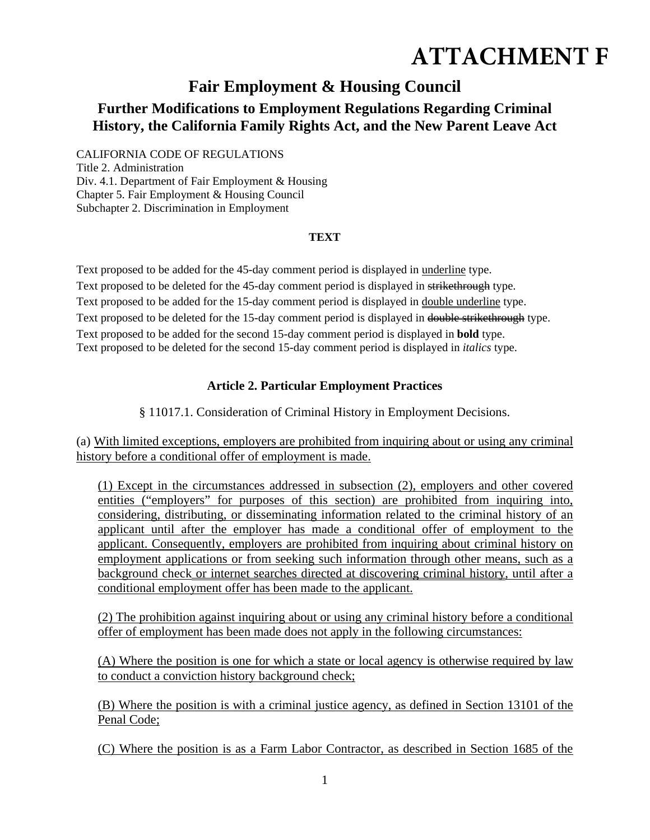# **ATTACHMENT F**

## **Fair Employment & Housing Council**

### **Further Modifications to Employment Regulations Regarding Criminal History, the California Family Rights Act, and the New Parent Leave Act**

CALIFORNIA CODE OF REGULATIONS Title 2. Administration Div. 4.1. Department of Fair Employment & Housing Chapter 5. Fair Employment & Housing Council Subchapter 2. Discrimination in Employment

#### **TEXT**

Text proposed to be added for the 45-day comment period is displayed in underline type. Text proposed to be deleted for the 45-day comment period is displayed in strikethrough type. Text proposed to be added for the 15-day comment period is displayed in double underline type. Text proposed to be deleted for the 15-day comment period is displayed in double strikethrough type. Text proposed to be added for the second 15-day comment period is displayed in **bold** type. Text proposed to be deleted for the second 15-day comment period is displayed in *italics* type.

#### **Article 2. Particular Employment Practices**

§ 11017.1. Consideration of Criminal History in Employment Decisions.

(a) With limited exceptions, employers are prohibited from inquiring about or using any criminal history before a conditional offer of employment is made.

(1) Except in the circumstances addressed in subsection (2), employers and other covered entities ("employers" for purposes of this section) are prohibited from inquiring into, considering, distributing, or disseminating information related to the criminal history of an applicant until after the employer has made a conditional offer of employment to the applicant. Consequently, employers are prohibited from inquiring about criminal history on employment applications or from seeking such information through other means, such as a background check or internet searches directed at discovering criminal history, until after a conditional employment offer has been made to the applicant.

(2) The prohibition against inquiring about or using any criminal history before a conditional offer of employment has been made does not apply in the following circumstances:

(A) Where the position is one for which a state or local agency is otherwise required by law to conduct a conviction history background check;

(B) Where the position is with a criminal justice agency, as defined in Section 13101 of the Penal Code;

(C) Where the position is as a Farm Labor Contractor, as described in Section 1685 of the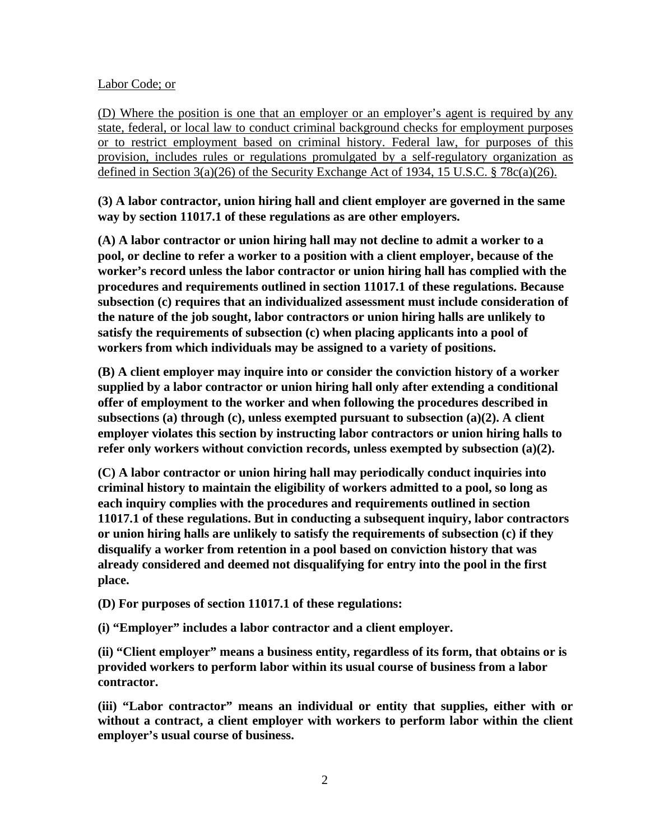#### Labor Code; or

(D) Where the position is one that an employer or an employer's agent is required by any state, federal, or local law to conduct criminal background checks for employment purposes or to restrict employment based on criminal history. Federal law, for purposes of this provision, includes rules or regulations promulgated by a self-regulatory organization as defined in Section 3(a)(26) of the Security Exchange Act of 1934, 15 U.S.C. § 78c(a)(26).

**(3) A labor contractor, union hiring hall and client employer are governed in the same way by section 11017.1 of these regulations as are other employers.** 

**(A) A labor contractor or union hiring hall may not decline to admit a worker to a pool, or decline to refer a worker to a position with a client employer, because of the worker's record unless the labor contractor or union hiring hall has complied with the procedures and requirements outlined in section 11017.1 of these regulations. Because subsection (c) requires that an individualized assessment must include consideration of the nature of the job sought, labor contractors or union hiring halls are unlikely to satisfy the requirements of subsection (c) when placing applicants into a pool of workers from which individuals may be assigned to a variety of positions.** 

**(B) A client employer may inquire into or consider the conviction history of a worker supplied by a labor contractor or union hiring hall only after extending a conditional offer of employment to the worker and when following the procedures described in subsections (a) through (c), unless exempted pursuant to subsection (a)(2). A client employer violates this section by instructing labor contractors or union hiring halls to refer only workers without conviction records, unless exempted by subsection (a)(2).** 

**(C) A labor contractor or union hiring hall may periodically conduct inquiries into criminal history to maintain the eligibility of workers admitted to a pool, so long as each inquiry complies with the procedures and requirements outlined in section 11017.1 of these regulations. But in conducting a subsequent inquiry, labor contractors or union hiring halls are unlikely to satisfy the requirements of subsection (c) if they disqualify a worker from retention in a pool based on conviction history that was already considered and deemed not disqualifying for entry into the pool in the first place.** 

**(D) For purposes of section 11017.1 of these regulations:** 

**(i) "Employer" includes a labor contractor and a client employer.** 

**(ii) "Client employer" means a business entity, regardless of its form, that obtains or is provided workers to perform labor within its usual course of business from a labor contractor.** 

**(iii) "Labor contractor" means an individual or entity that supplies, either with or without a contract, a client employer with workers to perform labor within the client employer's usual course of business.**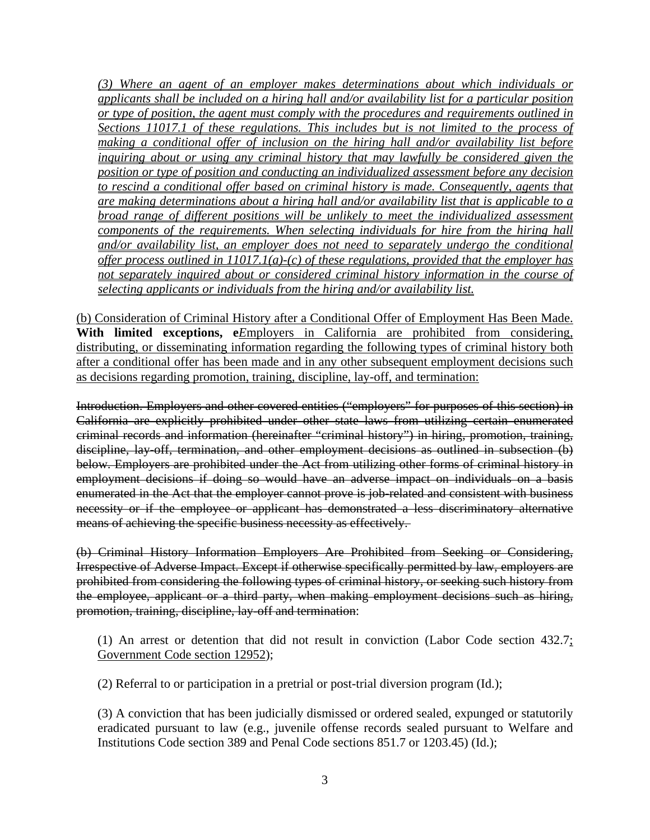*(3) Where an agent of an employer makes determinations about which individuals or applicants shall be included on a hiring hall and/or availability list for a particular position or type of position, the agent must comply with the procedures and requirements outlined in Sections 11017.1 of these regulations. This includes but is not limited to the process of making a conditional offer of inclusion on the hiring hall and/or availability list before inquiring about or using any criminal history that may lawfully be considered given the position or type of position and conducting an individualized assessment before any decision to rescind a conditional offer based on criminal history is made. Consequently, agents that are making determinations about a hiring hall and/or availability list that is applicable to a broad range of different positions will be unlikely to meet the individualized assessment components of the requirements. When selecting individuals for hire from the hiring hall and/or availability list, an employer does not need to separately undergo the conditional offer process outlined in 11017.1(a)-(c) of these regulations, provided that the employer has not separately inquired about or considered criminal history information in the course of selecting applicants or individuals from the hiring and/or availability list.* 

(b) Consideration of Criminal History after a Conditional Offer of Employment Has Been Made. With limited exceptions, e*E*mployers in California are prohibited from considering, distributing, or disseminating information regarding the following types of criminal history both after a conditional offer has been made and in any other subsequent employment decisions such as decisions regarding promotion, training, discipline, lay-off, and termination:

Introduction. Employers and other covered entities ("employers" for purposes of this section) in California are explicitly prohibited under other state laws from utilizing certain enumerated criminal records and information (hereinafter "criminal history") in hiring, promotion, training, discipline, lay-off, termination, and other employment decisions as outlined in subsection (b) below. Employers are prohibited under the Act from utilizing other forms of criminal history in employment decisions if doing so would have an adverse impact on individuals on a basis enumerated in the Act that the employer cannot prove is job-related and consistent with business necessity or if the employee or applicant has demonstrated a less discriminatory alternative means of achieving the specific business necessity as effectively.

(b) Criminal History Information Employers Are Prohibited from Seeking or Considering, Irrespective of Adverse Impact. Except if otherwise specifically permitted by law, employers are prohibited from considering the following types of criminal history, or seeking such history from the employee, applicant or a third party, when making employment decisions such as hiring, promotion, training, discipline, lay-off and termination:

(1) An arrest or detention that did not result in conviction (Labor Code section  $432.7$ ; Government Code section 12952);

(2) Referral to or participation in a pretrial or post-trial diversion program (Id.);

(3) A conviction that has been judicially dismissed or ordered sealed, expunged or statutorily eradicated pursuant to law (e.g., juvenile offense records sealed pursuant to Welfare and Institutions Code section 389 and Penal Code sections 851.7 or 1203.45) (Id.);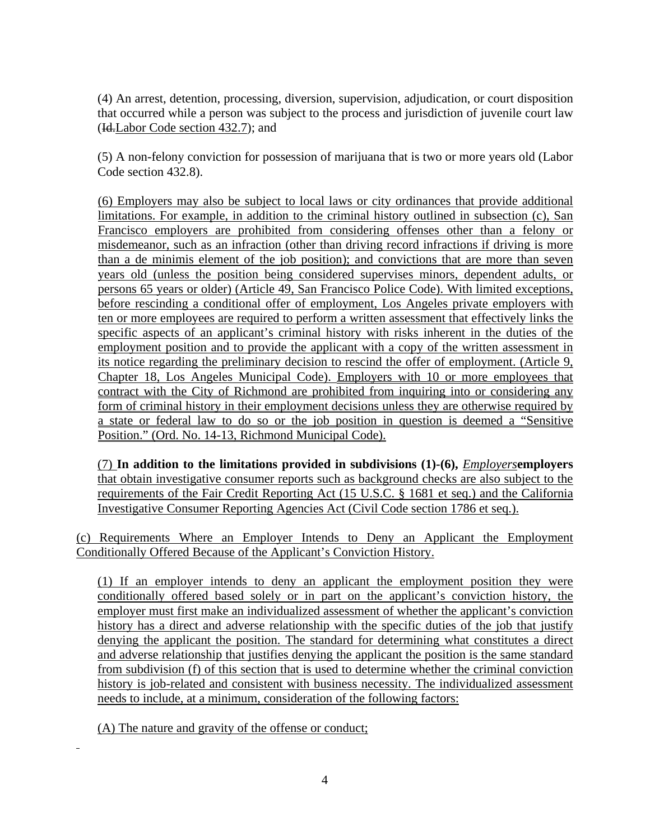(4) An arrest, detention, processing, diversion, supervision, adjudication, or court disposition that occurred while a person was subject to the process and jurisdiction of juvenile court law (Id.Labor Code section 432.7); and

(5) A non-felony conviction for possession of marijuana that is two or more years old (Labor Code section 432.8).

(6) Employers may also be subject to local laws or city ordinances that provide additional limitations. For example, in addition to the criminal history outlined in subsection (c), San Francisco employers are prohibited from considering offenses other than a felony or misdemeanor, such as an infraction (other than driving record infractions if driving is more than a de minimis element of the job position); and convictions that are more than seven years old (unless the position being considered supervises minors, dependent adults, or persons 65 years or older) (Article 49, San Francisco Police Code). With limited exceptions, before rescinding a conditional offer of employment, Los Angeles private employers with ten or more employees are required to perform a written assessment that effectively links the specific aspects of an applicant's criminal history with risks inherent in the duties of the employment position and to provide the applicant with a copy of the written assessment in its notice regarding the preliminary decision to rescind the offer of employment. (Article 9, Chapter 18, Los Angeles Municipal Code). Employers with 10 or more employees that contract with the City of Richmond are prohibited from inquiring into or considering any form of criminal history in their employment decisions unless they are otherwise required by a state or federal law to do so or the job position in question is deemed a "Sensitive Position." (Ord. No. 14-13, Richmond Municipal Code).

(7) **In addition to the limitations provided in subdivisions (1)-(6),** *Employers***employers** that obtain investigative consumer reports such as background checks are also subject to the requirements of the Fair Credit Reporting Act (15 U.S.C. § 1681 et seq.) and the California Investigative Consumer Reporting Agencies Act (Civil Code section 1786 et seq.).

(c) Requirements Where an Employer Intends to Deny an Applicant the Employment Conditionally Offered Because of the Applicant's Conviction History.

(1) If an employer intends to deny an applicant the employment position they were conditionally offered based solely or in part on the applicant's conviction history, the employer must first make an individualized assessment of whether the applicant's conviction history has a direct and adverse relationship with the specific duties of the job that justify denying the applicant the position. The standard for determining what constitutes a direct and adverse relationship that justifies denying the applicant the position is the same standard from subdivision (f) of this section that is used to determine whether the criminal conviction history is job-related and consistent with business necessity. The individualized assessment needs to include, at a minimum, consideration of the following factors:

(A) The nature and gravity of the offense or conduct;

l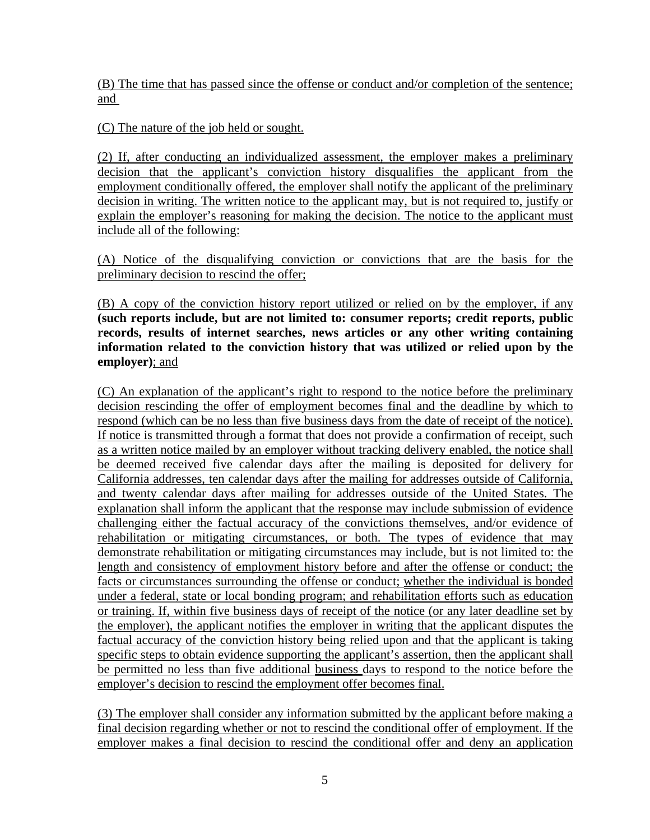(B) The time that has passed since the offense or conduct and/or completion of the sentence; and

(C) The nature of the job held or sought.

(2) If, after conducting an individualized assessment, the employer makes a preliminary decision that the applicant's conviction history disqualifies the applicant from the employment conditionally offered, the employer shall notify the applicant of the preliminary decision in writing. The written notice to the applicant may, but is not required to, justify or explain the employer's reasoning for making the decision. The notice to the applicant must include all of the following:

(A) Notice of the disqualifying conviction or convictions that are the basis for the preliminary decision to rescind the offer;

(B) A copy of the conviction history report utilized or relied on by the employer, if any **(such reports include, but are not limited to: consumer reports; credit reports, public records, results of internet searches, news articles or any other writing containing information related to the conviction history that was utilized or relied upon by the employer)**; and

(C) An explanation of the applicant's right to respond to the notice before the preliminary decision rescinding the offer of employment becomes final and the deadline by which to respond (which can be no less than five business days from the date of receipt of the notice). If notice is transmitted through a format that does not provide a confirmation of receipt, such as a written notice mailed by an employer without tracking delivery enabled, the notice shall be deemed received five calendar days after the mailing is deposited for delivery for California addresses, ten calendar days after the mailing for addresses outside of California, and twenty calendar days after mailing for addresses outside of the United States. The explanation shall inform the applicant that the response may include submission of evidence challenging either the factual accuracy of the convictions themselves, and/or evidence of rehabilitation or mitigating circumstances, or both. The types of evidence that may demonstrate rehabilitation or mitigating circumstances may include, but is not limited to: the length and consistency of employment history before and after the offense or conduct; the facts or circumstances surrounding the offense or conduct; whether the individual is bonded under a federal, state or local bonding program; and rehabilitation efforts such as education or training. If, within five business days of receipt of the notice (or any later deadline set by the employer), the applicant notifies the employer in writing that the applicant disputes the factual accuracy of the conviction history being relied upon and that the applicant is taking specific steps to obtain evidence supporting the applicant's assertion, then the applicant shall be permitted no less than five additional business days to respond to the notice before the employer's decision to rescind the employment offer becomes final.

(3) The employer shall consider any information submitted by the applicant before making a final decision regarding whether or not to rescind the conditional offer of employment. If the employer makes a final decision to rescind the conditional offer and deny an application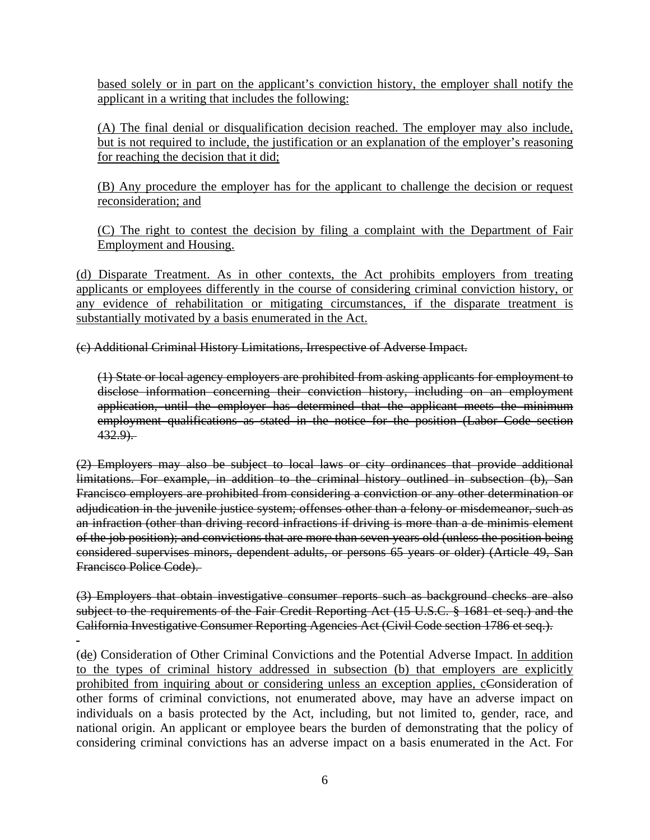based solely or in part on the applicant's conviction history, the employer shall notify the applicant in a writing that includes the following:

(A) The final denial or disqualification decision reached. The employer may also include, but is not required to include, the justification or an explanation of the employer's reasoning for reaching the decision that it did;

(B) Any procedure the employer has for the applicant to challenge the decision or request reconsideration; and

(C) The right to contest the decision by filing a complaint with the Department of Fair Employment and Housing.

(d) Disparate Treatment. As in other contexts, the Act prohibits employers from treating applicants or employees differently in the course of considering criminal conviction history, or any evidence of rehabilitation or mitigating circumstances, if the disparate treatment is substantially motivated by a basis enumerated in the Act.

(c) Additional Criminal History Limitations, Irrespective of Adverse Impact.

(1) State or local agency employers are prohibited from asking applicants for employment to disclose information concerning their conviction history, including on an employment application, until the employer has determined that the applicant meets the minimum employment qualifications as stated in the notice for the position (Labor Code section  $432.9$ .

(2) Employers may also be subject to local laws or city ordinances that provide additional limitations. For example, in addition to the criminal history outlined in subsection (b), San Francisco employers are prohibited from considering a conviction or any other determination or adjudication in the juvenile justice system; offenses other than a felony or misdemeanor, such as an infraction (other than driving record infractions if driving is more than a de minimis element of the job position); and convictions that are more than seven years old (unless the position being considered supervises minors, dependent adults, or persons 65 years or older) (Article 49, San Francisco Police Code).

(3) Employers that obtain investigative consumer reports such as background checks are also subject to the requirements of the Fair Credit Reporting Act (15 U.S.C. § 1681 et seq.) and the California Investigative Consumer Reporting Agencies Act (Civil Code section 1786 et seq.).

 $\overline{a}$ (de) Consideration of Other Criminal Convictions and the Potential Adverse Impact. In addition to the types of criminal history addressed in subsection (b) that employers are explicitly prohibited from inquiring about or considering unless an exception applies, cConsideration of other forms of criminal convictions, not enumerated above, may have an adverse impact on individuals on a basis protected by the Act, including, but not limited to, gender, race, and national origin. An applicant or employee bears the burden of demonstrating that the policy of considering criminal convictions has an adverse impact on a basis enumerated in the Act. For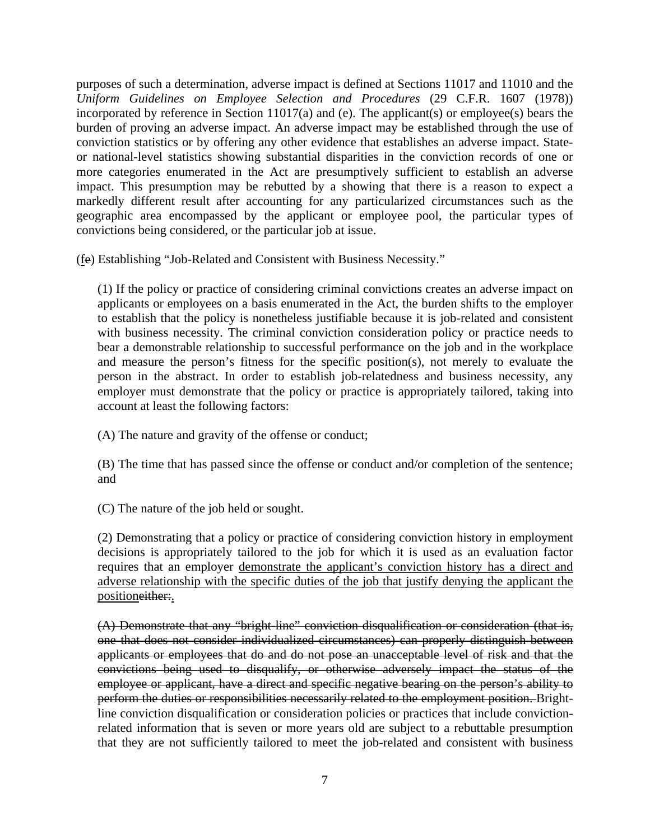purposes of such a determination, adverse impact is defined at Sections 11017 and 11010 and the *Uniform Guidelines on Employee Selection and Procedures* (29 C.F.R. 1607 (1978)) incorporated by reference in Section 11017(a) and (e). The applicant(s) or employee(s) bears the burden of proving an adverse impact. An adverse impact may be established through the use of conviction statistics or by offering any other evidence that establishes an adverse impact. Stateor national-level statistics showing substantial disparities in the conviction records of one or more categories enumerated in the Act are presumptively sufficient to establish an adverse impact. This presumption may be rebutted by a showing that there is a reason to expect a markedly different result after accounting for any particularized circumstances such as the geographic area encompassed by the applicant or employee pool, the particular types of convictions being considered, or the particular job at issue.

(fe) Establishing "Job-Related and Consistent with Business Necessity."

(1) If the policy or practice of considering criminal convictions creates an adverse impact on applicants or employees on a basis enumerated in the Act, the burden shifts to the employer to establish that the policy is nonetheless justifiable because it is job-related and consistent with business necessity. The criminal conviction consideration policy or practice needs to bear a demonstrable relationship to successful performance on the job and in the workplace and measure the person's fitness for the specific position(s), not merely to evaluate the person in the abstract. In order to establish job-relatedness and business necessity, any employer must demonstrate that the policy or practice is appropriately tailored, taking into account at least the following factors:

(A) The nature and gravity of the offense or conduct;

(B) The time that has passed since the offense or conduct and/or completion of the sentence; and

(C) The nature of the job held or sought.

(2) Demonstrating that a policy or practice of considering conviction history in employment decisions is appropriately tailored to the job for which it is used as an evaluation factor requires that an employer demonstrate the applicant's conviction history has a direct and adverse relationship with the specific duties of the job that justify denying the applicant the positioneither:.

(A) Demonstrate that any "bright-line" conviction disqualification or consideration (that is, one that does not consider individualized circumstances) can properly distinguish between applicants or employees that do and do not pose an unacceptable level of risk and that the convictions being used to disqualify, or otherwise adversely impact the status of the employee or applicant, have a direct and specific negative bearing on the person's ability to perform the duties or responsibilities necessarily related to the employment position. Brightline conviction disqualification or consideration policies or practices that include convictionrelated information that is seven or more years old are subject to a rebuttable presumption that they are not sufficiently tailored to meet the job-related and consistent with business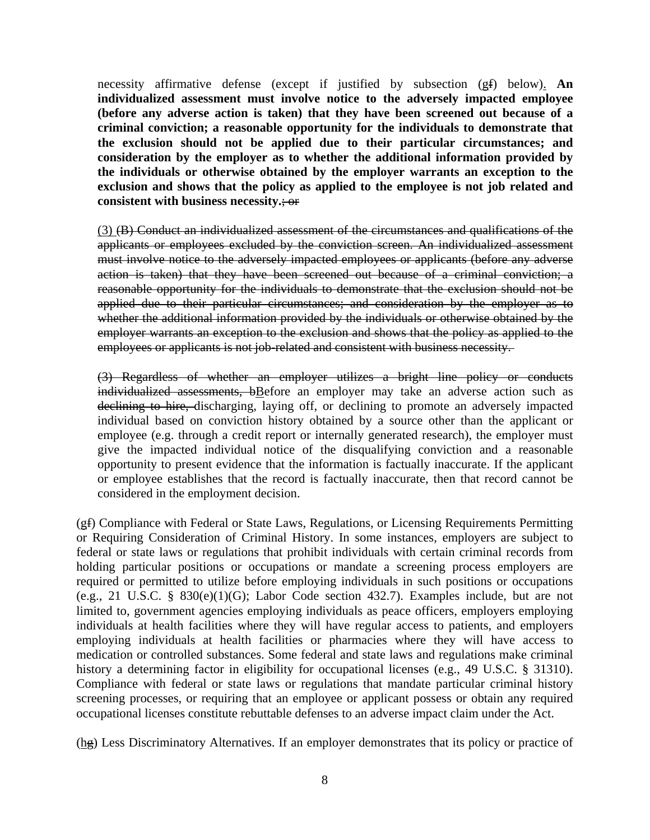necessity affirmative defense (except if justified by subsection (gf) below). **An individualized assessment must involve notice to the adversely impacted employee (before any adverse action is taken) that they have been screened out because of a criminal conviction; a reasonable opportunity for the individuals to demonstrate that the exclusion should not be applied due to their particular circumstances; and consideration by the employer as to whether the additional information provided by the individuals or otherwise obtained by the employer warrants an exception to the exclusion and shows that the policy as applied to the employee is not job related and consistent with business necessity.**; or

(3) (B) Conduct an individualized assessment of the circumstances and qualifications of the applicants or employees excluded by the conviction screen. An individualized assessment must involve notice to the adversely impacted employees or applicants (before any adverse action is taken) that they have been screened out because of a criminal conviction; a reasonable opportunity for the individuals to demonstrate that the exclusion should not be applied due to their particular circumstances; and consideration by the employer as to whether the additional information provided by the individuals or otherwise obtained by the employer warrants an exception to the exclusion and shows that the policy as applied to the employees or applicants is not job-related and consistent with business necessity.

(3) Regardless of whether an employer utilizes a bright line policy or conducts individualized assessments, bBefore an employer may take an adverse action such as declining to hire, discharging, laying off, or declining to promote an adversely impacted individual based on conviction history obtained by a source other than the applicant or employee (e.g. through a credit report or internally generated research), the employer must give the impacted individual notice of the disqualifying conviction and a reasonable opportunity to present evidence that the information is factually inaccurate. If the applicant or employee establishes that the record is factually inaccurate, then that record cannot be considered in the employment decision.

(gf) Compliance with Federal or State Laws, Regulations, or Licensing Requirements Permitting or Requiring Consideration of Criminal History. In some instances, employers are subject to federal or state laws or regulations that prohibit individuals with certain criminal records from holding particular positions or occupations or mandate a screening process employers are required or permitted to utilize before employing individuals in such positions or occupations (e.g., 21 U.S.C. § 830(e)(1)(G); Labor Code section 432.7). Examples include, but are not limited to, government agencies employing individuals as peace officers, employers employing individuals at health facilities where they will have regular access to patients, and employers employing individuals at health facilities or pharmacies where they will have access to medication or controlled substances. Some federal and state laws and regulations make criminal history a determining factor in eligibility for occupational licenses (e.g., 49 U.S.C. § 31310). Compliance with federal or state laws or regulations that mandate particular criminal history screening processes, or requiring that an employee or applicant possess or obtain any required occupational licenses constitute rebuttable defenses to an adverse impact claim under the Act.

(hg) Less Discriminatory Alternatives. If an employer demonstrates that its policy or practice of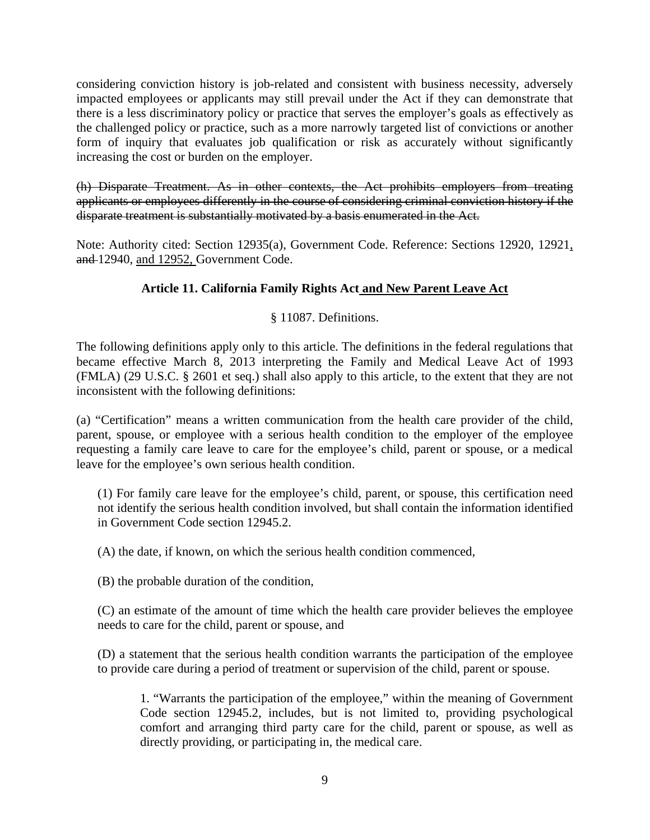considering conviction history is job-related and consistent with business necessity, adversely impacted employees or applicants may still prevail under the Act if they can demonstrate that there is a less discriminatory policy or practice that serves the employer's goals as effectively as the challenged policy or practice, such as a more narrowly targeted list of convictions or another form of inquiry that evaluates job qualification or risk as accurately without significantly increasing the cost or burden on the employer.

(h) Disparate Treatment. As in other contexts, the Act prohibits employers from treating applicants or employees differently in the course of considering criminal conviction history if the disparate treatment is substantially motivated by a basis enumerated in the Act.

Note: Authority cited: Section 12935(a), Government Code. Reference: Sections 12920, 12921, and 12940, and 12952, Government Code.

#### **Article 11. California Family Rights Act and New Parent Leave Act**

#### § 11087. Definitions.

The following definitions apply only to this article. The definitions in the federal regulations that became effective March 8, 2013 interpreting the Family and Medical Leave Act of 1993 (FMLA) (29 U.S.C. § 2601 et seq.) shall also apply to this article, to the extent that they are not inconsistent with the following definitions:

(a) "Certification" means a written communication from the health care provider of the child, parent, spouse, or employee with a serious health condition to the employer of the employee requesting a family care leave to care for the employee's child, parent or spouse, or a medical leave for the employee's own serious health condition.

(1) For family care leave for the employee's child, parent, or spouse, this certification need not identify the serious health condition involved, but shall contain the information identified in Government Code section 12945.2.

(A) the date, if known, on which the serious health condition commenced,

(B) the probable duration of the condition,

(C) an estimate of the amount of time which the health care provider believes the employee needs to care for the child, parent or spouse, and

(D) a statement that the serious health condition warrants the participation of the employee to provide care during a period of treatment or supervision of the child, parent or spouse.

1. "Warrants the participation of the employee," within the meaning of Government Code section 12945.2, includes, but is not limited to, providing psychological comfort and arranging third party care for the child, parent or spouse, as well as directly providing, or participating in, the medical care.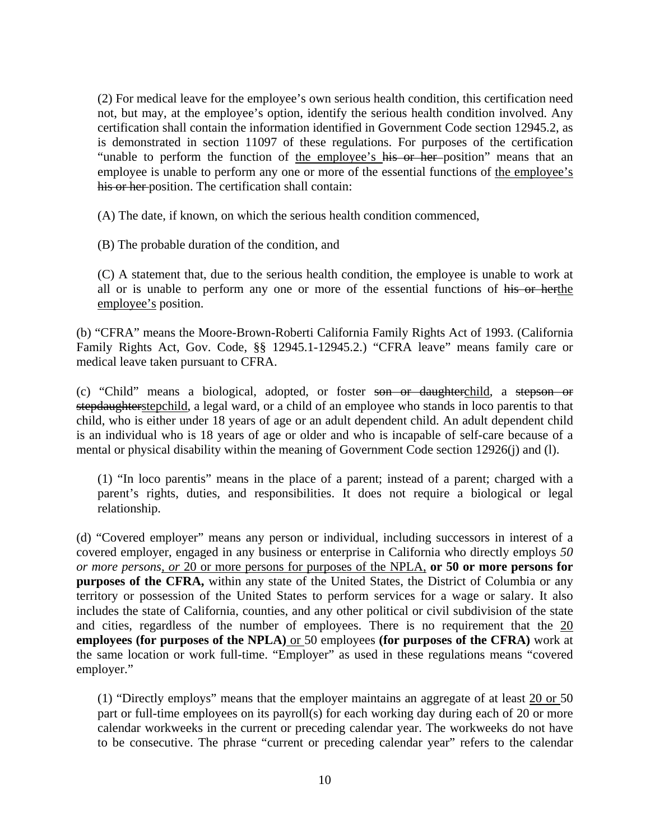(2) For medical leave for the employee's own serious health condition, this certification need not, but may, at the employee's option, identify the serious health condition involved. Any certification shall contain the information identified in Government Code section 12945.2, as is demonstrated in section 11097 of these regulations. For purposes of the certification "unable to perform the function of the employee's his or her position" means that an employee is unable to perform any one or more of the essential functions of the employee's his or her position. The certification shall contain:

(A) The date, if known, on which the serious health condition commenced,

(B) The probable duration of the condition, and

(C) A statement that, due to the serious health condition, the employee is unable to work at all or is unable to perform any one or more of the essential functions of his or herthe employee's position.

(b) "CFRA" means the Moore-Brown-Roberti California Family Rights Act of 1993. (California Family Rights Act, Gov. Code, §§ 12945.1-12945.2.) "CFRA leave" means family care or medical leave taken pursuant to CFRA.

(c) "Child" means a biological, adopted, or foster son or daughterchild, a stepson or stepdaughterstepchild, a legal ward, or a child of an employee who stands in loco parentis to that child, who is either under 18 years of age or an adult dependent child. An adult dependent child is an individual who is 18 years of age or older and who is incapable of self-care because of a mental or physical disability within the meaning of Government Code section 12926(j) and (l).

(1) "In loco parentis" means in the place of a parent; instead of a parent; charged with a parent's rights, duties, and responsibilities. It does not require a biological or legal relationship.

(d) "Covered employer" means any person or individual, including successors in interest of a covered employer, engaged in any business or enterprise in California who directly employs *50 or more persons, or* 20 or more persons for purposes of the NPLA, **or 50 or more persons for purposes of the CFRA,** within any state of the United States, the District of Columbia or any territory or possession of the United States to perform services for a wage or salary. It also includes the state of California, counties, and any other political or civil subdivision of the state and cities, regardless of the number of employees. There is no requirement that the 20 **employees (for purposes of the NPLA)** or 50 employees **(for purposes of the CFRA)** work at the same location or work full-time. "Employer" as used in these regulations means "covered employer."

(1) "Directly employs" means that the employer maintains an aggregate of at least 20 or 50 part or full-time employees on its payroll(s) for each working day during each of 20 or more calendar workweeks in the current or preceding calendar year. The workweeks do not have to be consecutive. The phrase "current or preceding calendar year" refers to the calendar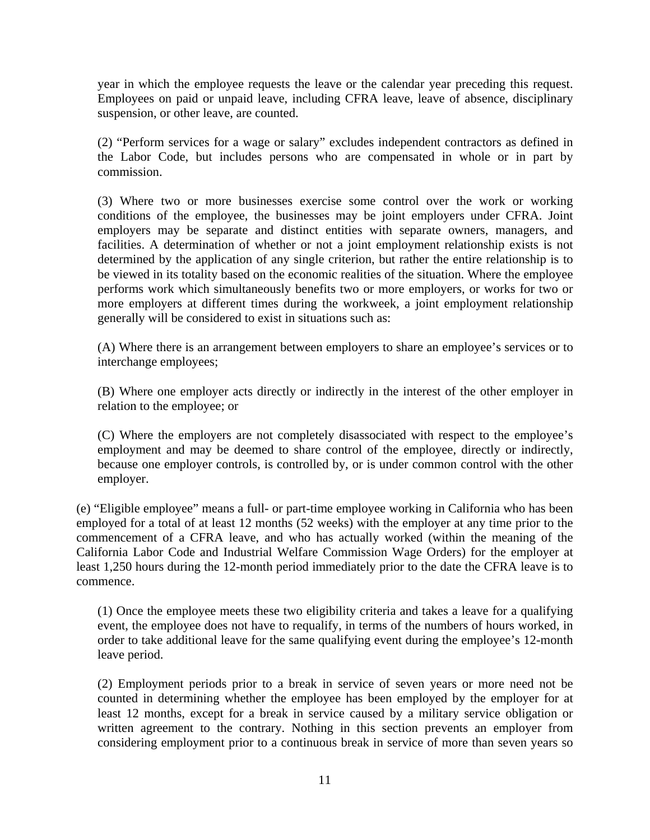year in which the employee requests the leave or the calendar year preceding this request. Employees on paid or unpaid leave, including CFRA leave, leave of absence, disciplinary suspension, or other leave, are counted.

(2) "Perform services for a wage or salary" excludes independent contractors as defined in the Labor Code, but includes persons who are compensated in whole or in part by commission.

(3) Where two or more businesses exercise some control over the work or working conditions of the employee, the businesses may be joint employers under CFRA. Joint employers may be separate and distinct entities with separate owners, managers, and facilities. A determination of whether or not a joint employment relationship exists is not determined by the application of any single criterion, but rather the entire relationship is to be viewed in its totality based on the economic realities of the situation. Where the employee performs work which simultaneously benefits two or more employers, or works for two or more employers at different times during the workweek, a joint employment relationship generally will be considered to exist in situations such as:

(A) Where there is an arrangement between employers to share an employee's services or to interchange employees;

(B) Where one employer acts directly or indirectly in the interest of the other employer in relation to the employee; or

(C) Where the employers are not completely disassociated with respect to the employee's employment and may be deemed to share control of the employee, directly or indirectly, because one employer controls, is controlled by, or is under common control with the other employer.

(e) "Eligible employee" means a full- or part-time employee working in California who has been employed for a total of at least 12 months (52 weeks) with the employer at any time prior to the commencement of a CFRA leave, and who has actually worked (within the meaning of the California Labor Code and Industrial Welfare Commission Wage Orders) for the employer at least 1,250 hours during the 12-month period immediately prior to the date the CFRA leave is to commence.

(1) Once the employee meets these two eligibility criteria and takes a leave for a qualifying event, the employee does not have to requalify, in terms of the numbers of hours worked, in order to take additional leave for the same qualifying event during the employee's 12-month leave period.

(2) Employment periods prior to a break in service of seven years or more need not be counted in determining whether the employee has been employed by the employer for at least 12 months, except for a break in service caused by a military service obligation or written agreement to the contrary. Nothing in this section prevents an employer from considering employment prior to a continuous break in service of more than seven years so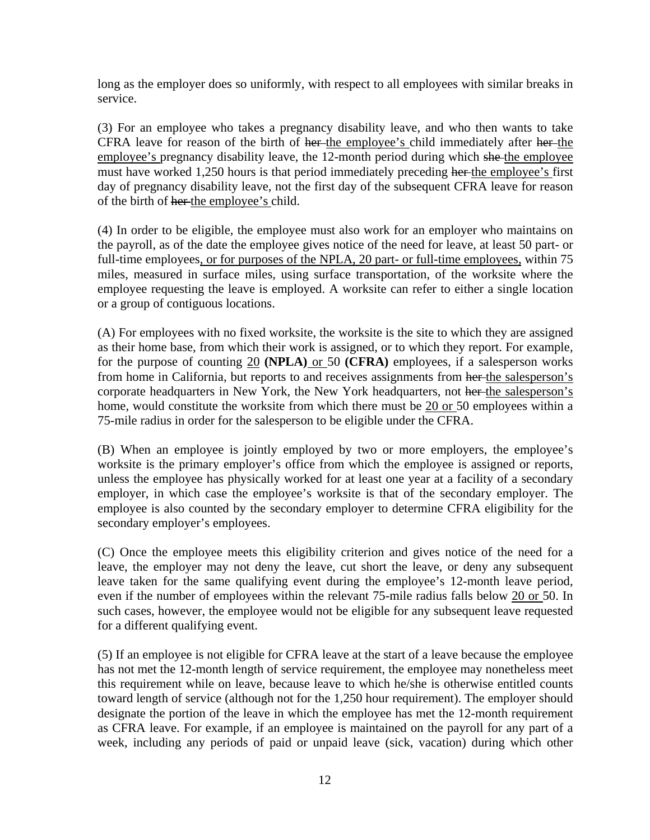long as the employer does so uniformly, with respect to all employees with similar breaks in service.

(3) For an employee who takes a pregnancy disability leave, and who then wants to take CFRA leave for reason of the birth of her-the employee's child immediately after her-the employee's pregnancy disability leave, the 12-month period during which she the employee must have worked 1,250 hours is that period immediately preceding her the employee's first day of pregnancy disability leave, not the first day of the subsequent CFRA leave for reason of the birth of her the employee's child.

(4) In order to be eligible, the employee must also work for an employer who maintains on the payroll, as of the date the employee gives notice of the need for leave, at least 50 part- or full-time employees, or for purposes of the NPLA, 20 part- or full-time employees, within 75 miles, measured in surface miles, using surface transportation, of the worksite where the employee requesting the leave is employed. A worksite can refer to either a single location or a group of contiguous locations.

(A) For employees with no fixed worksite, the worksite is the site to which they are assigned as their home base, from which their work is assigned, or to which they report. For example, for the purpose of counting 20 **(NPLA)** or 50 **(CFRA)** employees, if a salesperson works from home in California, but reports to and receives assignments from her the salesperson's corporate headquarters in New York, the New York headquarters, not her-the salesperson's home, would constitute the worksite from which there must be 20 or 50 employees within a 75-mile radius in order for the salesperson to be eligible under the CFRA.

(B) When an employee is jointly employed by two or more employers, the employee's worksite is the primary employer's office from which the employee is assigned or reports, unless the employee has physically worked for at least one year at a facility of a secondary employer, in which case the employee's worksite is that of the secondary employer. The employee is also counted by the secondary employer to determine CFRA eligibility for the secondary employer's employees.

(C) Once the employee meets this eligibility criterion and gives notice of the need for a leave, the employer may not deny the leave, cut short the leave, or deny any subsequent leave taken for the same qualifying event during the employee's 12-month leave period, even if the number of employees within the relevant 75-mile radius falls below 20 or 50. In such cases, however, the employee would not be eligible for any subsequent leave requested for a different qualifying event.

(5) If an employee is not eligible for CFRA leave at the start of a leave because the employee has not met the 12-month length of service requirement, the employee may nonetheless meet this requirement while on leave, because leave to which he/she is otherwise entitled counts toward length of service (although not for the 1,250 hour requirement). The employer should designate the portion of the leave in which the employee has met the 12-month requirement as CFRA leave. For example, if an employee is maintained on the payroll for any part of a week, including any periods of paid or unpaid leave (sick, vacation) during which other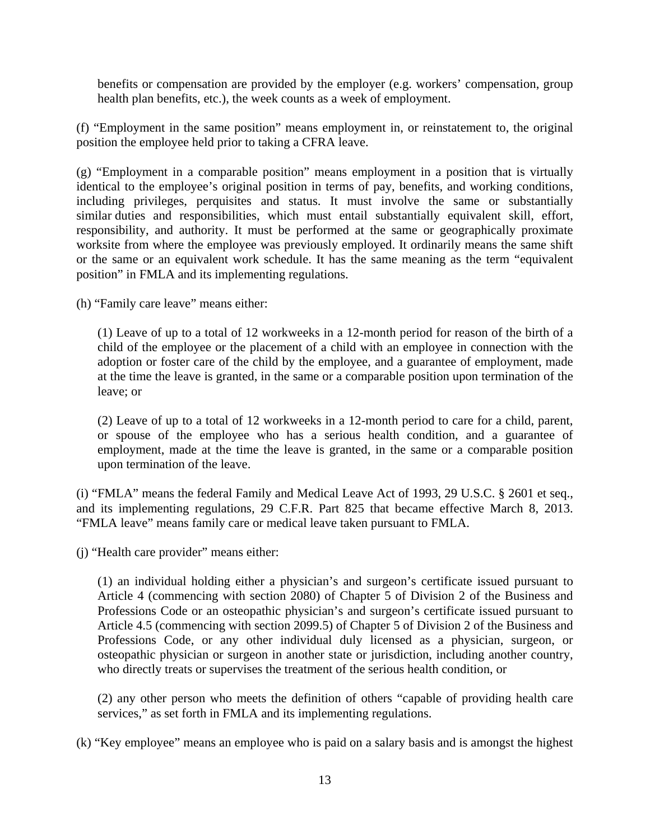benefits or compensation are provided by the employer (e.g. workers' compensation, group health plan benefits, etc.), the week counts as a week of employment.

(f) "Employment in the same position" means employment in, or reinstatement to, the original position the employee held prior to taking a CFRA leave.

(g) "Employment in a comparable position" means employment in a position that is virtually identical to the employee's original position in terms of pay, benefits, and working conditions, including privileges, perquisites and status. It must involve the same or substantially similar duties and responsibilities, which must entail substantially equivalent skill, effort, responsibility, and authority. It must be performed at the same or geographically proximate worksite from where the employee was previously employed. It ordinarily means the same shift or the same or an equivalent work schedule. It has the same meaning as the term "equivalent position" in FMLA and its implementing regulations.

(h) "Family care leave" means either:

(1) Leave of up to a total of 12 workweeks in a 12-month period for reason of the birth of a child of the employee or the placement of a child with an employee in connection with the adoption or foster care of the child by the employee, and a guarantee of employment, made at the time the leave is granted, in the same or a comparable position upon termination of the leave; or

(2) Leave of up to a total of 12 workweeks in a 12-month period to care for a child, parent, or spouse of the employee who has a serious health condition, and a guarantee of employment, made at the time the leave is granted, in the same or a comparable position upon termination of the leave.

(i) "FMLA" means the federal Family and Medical Leave Act of 1993, 29 U.S.C. § 2601 et seq., and its implementing regulations, 29 C.F.R. Part 825 that became effective March 8, 2013. "FMLA leave" means family care or medical leave taken pursuant to FMLA.

(j) "Health care provider" means either:

(1) an individual holding either a physician's and surgeon's certificate issued pursuant to Article 4 (commencing with section 2080) of Chapter 5 of Division 2 of the Business and Professions Code or an osteopathic physician's and surgeon's certificate issued pursuant to Article 4.5 (commencing with section 2099.5) of Chapter 5 of Division 2 of the Business and Professions Code, or any other individual duly licensed as a physician, surgeon, or osteopathic physician or surgeon in another state or jurisdiction, including another country, who directly treats or supervises the treatment of the serious health condition, or

(2) any other person who meets the definition of others "capable of providing health care services," as set forth in FMLA and its implementing regulations.

(k) "Key employee" means an employee who is paid on a salary basis and is amongst the highest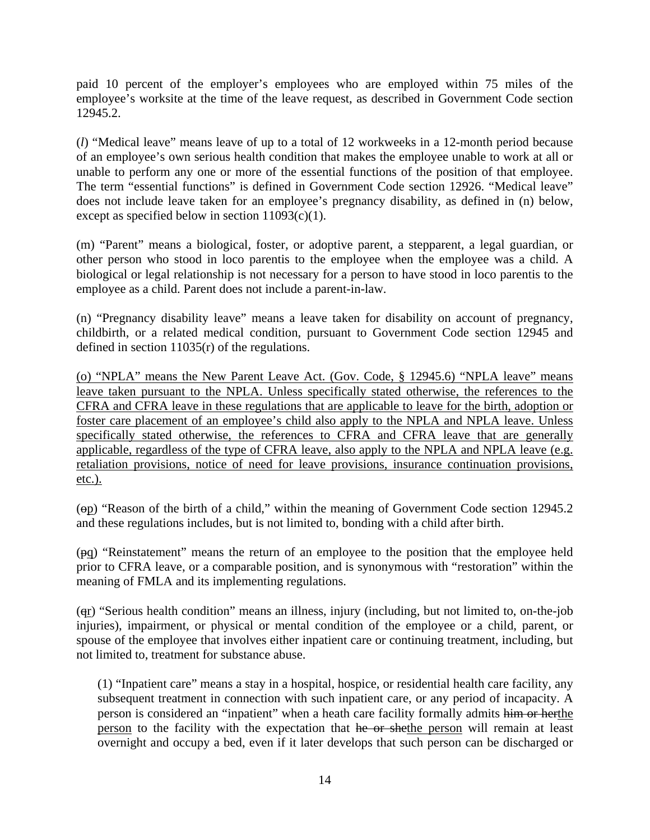paid 10 percent of the employer's employees who are employed within 75 miles of the employee's worksite at the time of the leave request, as described in Government Code section 12945.2.

(*l*) "Medical leave" means leave of up to a total of 12 workweeks in a 12-month period because of an employee's own serious health condition that makes the employee unable to work at all or unable to perform any one or more of the essential functions of the position of that employee. The term "essential functions" is defined in Government Code section 12926. "Medical leave" does not include leave taken for an employee's pregnancy disability, as defined in (n) below, except as specified below in section  $11093(c)(1)$ .

(m) "Parent" means a biological, foster, or adoptive parent, a stepparent, a legal guardian, or other person who stood in loco parentis to the employee when the employee was a child. A biological or legal relationship is not necessary for a person to have stood in loco parentis to the employee as a child. Parent does not include a parent-in-law.

(n) "Pregnancy disability leave" means a leave taken for disability on account of pregnancy, childbirth, or a related medical condition, pursuant to Government Code section 12945 and defined in section 11035(r) of the regulations.

(o) "NPLA" means the New Parent Leave Act. (Gov. Code, § 12945.6) "NPLA leave" means leave taken pursuant to the NPLA. Unless specifically stated otherwise, the references to the CFRA and CFRA leave in these regulations that are applicable to leave for the birth, adoption or foster care placement of an employee's child also apply to the NPLA and NPLA leave. Unless specifically stated otherwise, the references to CFRA and CFRA leave that are generally applicable, regardless of the type of CFRA leave, also apply to the NPLA and NPLA leave (e.g. retaliation provisions, notice of need for leave provisions, insurance continuation provisions, etc.).

(op) "Reason of the birth of a child," within the meaning of Government Code section 12945.2 and these regulations includes, but is not limited to, bonding with a child after birth.

(pq) "Reinstatement" means the return of an employee to the position that the employee held prior to CFRA leave, or a comparable position, and is synonymous with "restoration" within the meaning of FMLA and its implementing regulations.

(qr) "Serious health condition" means an illness, injury (including, but not limited to, on-the-job injuries), impairment, or physical or mental condition of the employee or a child, parent, or spouse of the employee that involves either inpatient care or continuing treatment, including, but not limited to, treatment for substance abuse.

(1) "Inpatient care" means a stay in a hospital, hospice, or residential health care facility, any subsequent treatment in connection with such inpatient care, or any period of incapacity. A person is considered an "inpatient" when a heath care facility formally admits him or herthe person to the facility with the expectation that he or shethe person will remain at least overnight and occupy a bed, even if it later develops that such person can be discharged or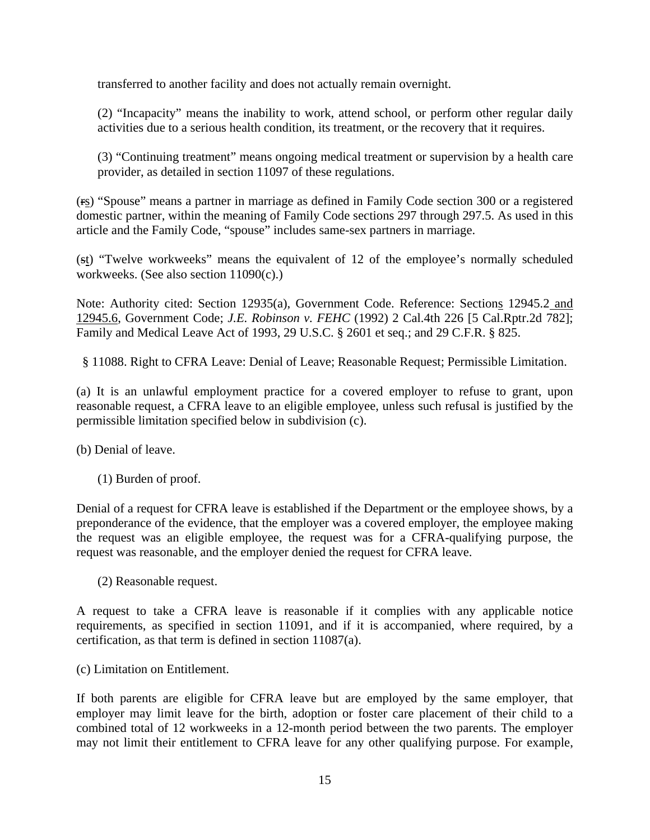transferred to another facility and does not actually remain overnight.

(2) "Incapacity" means the inability to work, attend school, or perform other regular daily activities due to a serious health condition, its treatment, or the recovery that it requires.

(3) "Continuing treatment" means ongoing medical treatment or supervision by a health care provider, as detailed in section 11097 of these regulations.

(rs) "Spouse" means a partner in marriage as defined in Family Code section 300 or a registered domestic partner, within the meaning of Family Code sections 297 through 297.5. As used in this article and the Family Code, "spouse" includes same-sex partners in marriage.

(st) "Twelve workweeks" means the equivalent of 12 of the employee's normally scheduled workweeks. (See also section 11090(c).)

Note: Authority cited: Section 12935(a), Government Code. Reference: Sections 12945.2 and 12945.6, Government Code; *J.E. Robinson v. FEHC* (1992) 2 Cal.4th 226 [5 Cal.Rptr.2d 782]; Family and Medical Leave Act of 1993, 29 U.S.C. § 2601 et seq.; and 29 C.F.R. § 825.

§ 11088. Right to CFRA Leave: Denial of Leave; Reasonable Request; Permissible Limitation.

(a) It is an unlawful employment practice for a covered employer to refuse to grant, upon reasonable request, a CFRA leave to an eligible employee, unless such refusal is justified by the permissible limitation specified below in subdivision (c).

(b) Denial of leave.

(1) Burden of proof.

Denial of a request for CFRA leave is established if the Department or the employee shows, by a preponderance of the evidence, that the employer was a covered employer, the employee making the request was an eligible employee, the request was for a CFRA-qualifying purpose, the request was reasonable, and the employer denied the request for CFRA leave.

(2) Reasonable request.

A request to take a CFRA leave is reasonable if it complies with any applicable notice requirements, as specified in section 11091, and if it is accompanied, where required, by a certification, as that term is defined in section 11087(a).

(c) Limitation on Entitlement.

If both parents are eligible for CFRA leave but are employed by the same employer, that employer may limit leave for the birth, adoption or foster care placement of their child to a combined total of 12 workweeks in a 12-month period between the two parents. The employer may not limit their entitlement to CFRA leave for any other qualifying purpose. For example,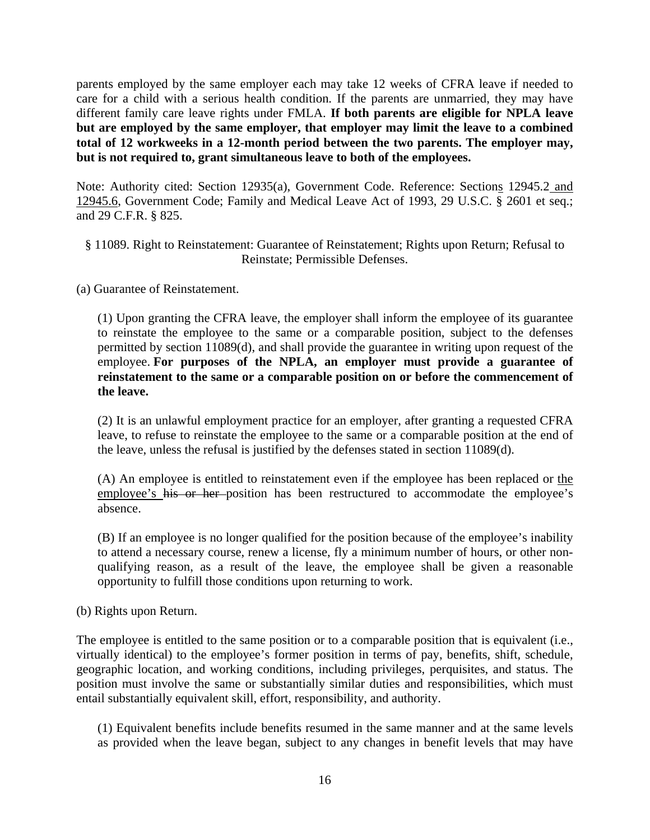parents employed by the same employer each may take 12 weeks of CFRA leave if needed to care for a child with a serious health condition. If the parents are unmarried, they may have different family care leave rights under FMLA. **If both parents are eligible for NPLA leave but are employed by the same employer, that employer may limit the leave to a combined total of 12 workweeks in a 12-month period between the two parents. The employer may, but is not required to, grant simultaneous leave to both of the employees.**

Note: Authority cited: Section 12935(a), Government Code. Reference: Sections 12945.2 and 12945.6, Government Code; Family and Medical Leave Act of 1993, 29 U.S.C. § 2601 et seq.; and 29 C.F.R. § 825.

- § 11089. Right to Reinstatement: Guarantee of Reinstatement; Rights upon Return; Refusal to Reinstate; Permissible Defenses.
- (a) Guarantee of Reinstatement.

(1) Upon granting the CFRA leave, the employer shall inform the employee of its guarantee to reinstate the employee to the same or a comparable position, subject to the defenses permitted by section 11089(d), and shall provide the guarantee in writing upon request of the employee. **For purposes of the NPLA, an employer must provide a guarantee of reinstatement to the same or a comparable position on or before the commencement of the leave.**

(2) It is an unlawful employment practice for an employer, after granting a requested CFRA leave, to refuse to reinstate the employee to the same or a comparable position at the end of the leave, unless the refusal is justified by the defenses stated in section 11089(d).

(A) An employee is entitled to reinstatement even if the employee has been replaced or the employee's his or her position has been restructured to accommodate the employee's absence.

(B) If an employee is no longer qualified for the position because of the employee's inability to attend a necessary course, renew a license, fly a minimum number of hours, or other nonqualifying reason, as a result of the leave, the employee shall be given a reasonable opportunity to fulfill those conditions upon returning to work.

(b) Rights upon Return.

The employee is entitled to the same position or to a comparable position that is equivalent (i.e., virtually identical) to the employee's former position in terms of pay, benefits, shift, schedule, geographic location, and working conditions, including privileges, perquisites, and status. The position must involve the same or substantially similar duties and responsibilities, which must entail substantially equivalent skill, effort, responsibility, and authority.

(1) Equivalent benefits include benefits resumed in the same manner and at the same levels as provided when the leave began, subject to any changes in benefit levels that may have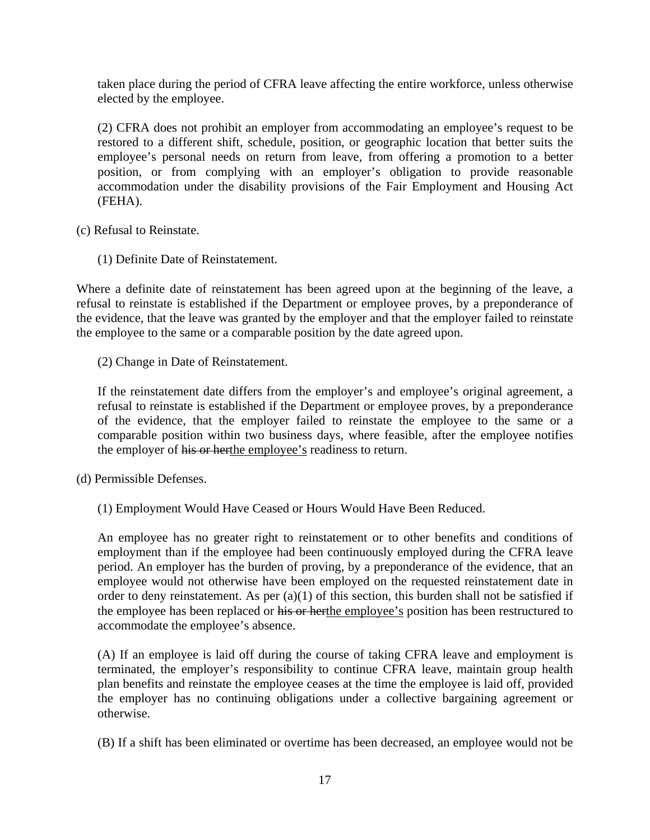taken place during the period of CFRA leave affecting the entire workforce, unless otherwise elected by the employee.

(2) CFRA does not prohibit an employer from accommodating an employee's request to be restored to a different shift, schedule, position, or geographic location that better suits the employee's personal needs on return from leave, from offering a promotion to a better position, or from complying with an employer's obligation to provide reasonable accommodation under the disability provisions of the Fair Employment and Housing Act (FEHA).

(c) Refusal to Reinstate.

(1) Definite Date of Reinstatement.

Where a definite date of reinstatement has been agreed upon at the beginning of the leave, a refusal to reinstate is established if the Department or employee proves, by a preponderance of the evidence, that the leave was granted by the employer and that the employer failed to reinstate the employee to the same or a comparable position by the date agreed upon.

(2) Change in Date of Reinstatement.

If the reinstatement date differs from the employer's and employee's original agreement, a refusal to reinstate is established if the Department or employee proves, by a preponderance of the evidence, that the employer failed to reinstate the employee to the same or a comparable position within two business days, where feasible, after the employee notifies the employer of his or herthe employee's readiness to return.

(d) Permissible Defenses.

(1) Employment Would Have Ceased or Hours Would Have Been Reduced.

An employee has no greater right to reinstatement or to other benefits and conditions of employment than if the employee had been continuously employed during the CFRA leave period. An employer has the burden of proving, by a preponderance of the evidence, that an employee would not otherwise have been employed on the requested reinstatement date in order to deny reinstatement. As per (a)(1) of this section, this burden shall not be satisfied if the employee has been replaced or his or herthe employee's position has been restructured to accommodate the employee's absence.

(A) If an employee is laid off during the course of taking CFRA leave and employment is terminated, the employer's responsibility to continue CFRA leave, maintain group health plan benefits and reinstate the employee ceases at the time the employee is laid off, provided the employer has no continuing obligations under a collective bargaining agreement or otherwise.

(B) If a shift has been eliminated or overtime has been decreased, an employee would not be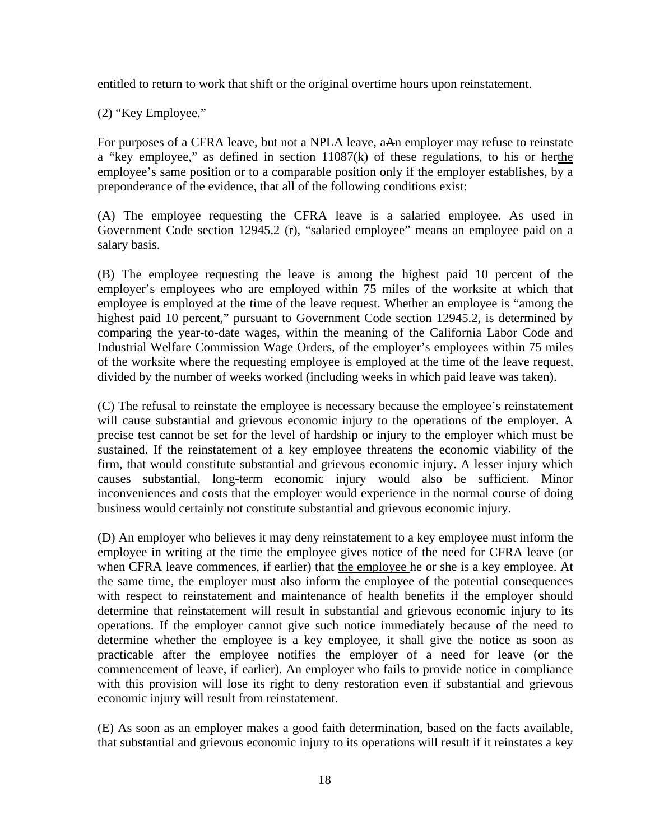entitled to return to work that shift or the original overtime hours upon reinstatement.

(2) "Key Employee."

For purposes of a CFRA leave, but not a NPLA leave, aAn employer may refuse to reinstate a "key employee," as defined in section 11087(k) of these regulations, to his or herthe employee's same position or to a comparable position only if the employer establishes, by a preponderance of the evidence, that all of the following conditions exist:

(A) The employee requesting the CFRA leave is a salaried employee. As used in Government Code section 12945.2 (r), "salaried employee" means an employee paid on a salary basis.

(B) The employee requesting the leave is among the highest paid 10 percent of the employer's employees who are employed within 75 miles of the worksite at which that employee is employed at the time of the leave request. Whether an employee is "among the highest paid 10 percent," pursuant to Government Code section 12945.2, is determined by comparing the year-to-date wages, within the meaning of the California Labor Code and Industrial Welfare Commission Wage Orders, of the employer's employees within 75 miles of the worksite where the requesting employee is employed at the time of the leave request, divided by the number of weeks worked (including weeks in which paid leave was taken).

(C) The refusal to reinstate the employee is necessary because the employee's reinstatement will cause substantial and grievous economic injury to the operations of the employer. A precise test cannot be set for the level of hardship or injury to the employer which must be sustained. If the reinstatement of a key employee threatens the economic viability of the firm, that would constitute substantial and grievous economic injury. A lesser injury which causes substantial, long-term economic injury would also be sufficient. Minor inconveniences and costs that the employer would experience in the normal course of doing business would certainly not constitute substantial and grievous economic injury.

(D) An employer who believes it may deny reinstatement to a key employee must inform the employee in writing at the time the employee gives notice of the need for CFRA leave (or when CFRA leave commences, if earlier) that the employee he or she is a key employee. At the same time, the employer must also inform the employee of the potential consequences with respect to reinstatement and maintenance of health benefits if the employer should determine that reinstatement will result in substantial and grievous economic injury to its operations. If the employer cannot give such notice immediately because of the need to determine whether the employee is a key employee, it shall give the notice as soon as practicable after the employee notifies the employer of a need for leave (or the commencement of leave, if earlier). An employer who fails to provide notice in compliance with this provision will lose its right to deny restoration even if substantial and grievous economic injury will result from reinstatement.

(E) As soon as an employer makes a good faith determination, based on the facts available, that substantial and grievous economic injury to its operations will result if it reinstates a key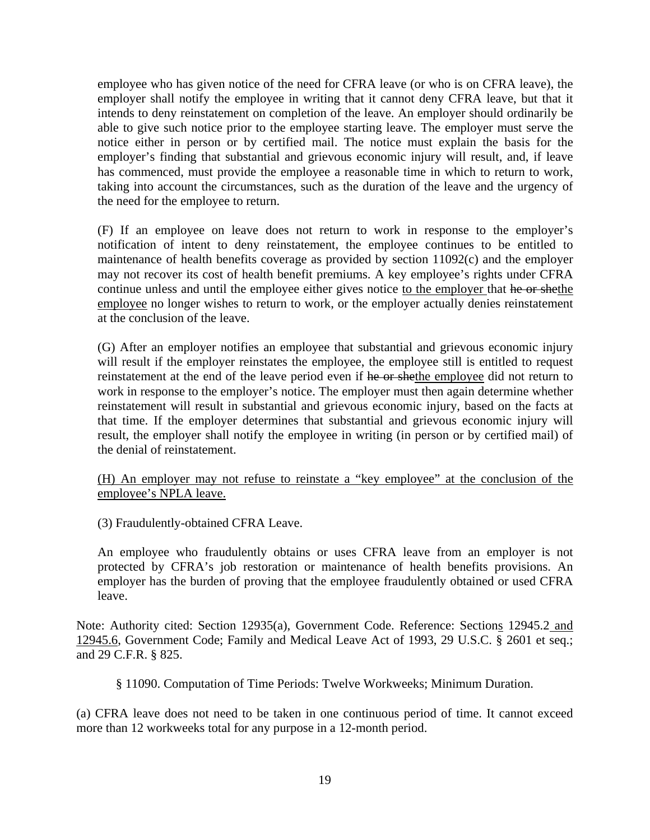employee who has given notice of the need for CFRA leave (or who is on CFRA leave), the employer shall notify the employee in writing that it cannot deny CFRA leave, but that it intends to deny reinstatement on completion of the leave. An employer should ordinarily be able to give such notice prior to the employee starting leave. The employer must serve the notice either in person or by certified mail. The notice must explain the basis for the employer's finding that substantial and grievous economic injury will result, and, if leave has commenced, must provide the employee a reasonable time in which to return to work, taking into account the circumstances, such as the duration of the leave and the urgency of the need for the employee to return.

(F) If an employee on leave does not return to work in response to the employer's notification of intent to deny reinstatement, the employee continues to be entitled to maintenance of health benefits coverage as provided by section 11092(c) and the employer may not recover its cost of health benefit premiums. A key employee's rights under CFRA continue unless and until the employee either gives notice to the employer that he or shethe employee no longer wishes to return to work, or the employer actually denies reinstatement at the conclusion of the leave.

(G) After an employer notifies an employee that substantial and grievous economic injury will result if the employer reinstates the employee, the employee still is entitled to request reinstatement at the end of the leave period even if he or shethe employee did not return to work in response to the employer's notice. The employer must then again determine whether reinstatement will result in substantial and grievous economic injury, based on the facts at that time. If the employer determines that substantial and grievous economic injury will result, the employer shall notify the employee in writing (in person or by certified mail) of the denial of reinstatement.

(H) An employer may not refuse to reinstate a "key employee" at the conclusion of the employee's NPLA leave.

(3) Fraudulently-obtained CFRA Leave.

An employee who fraudulently obtains or uses CFRA leave from an employer is not protected by CFRA's job restoration or maintenance of health benefits provisions. An employer has the burden of proving that the employee fraudulently obtained or used CFRA leave.

Note: Authority cited: Section 12935(a), Government Code. Reference: Sections 12945.2 and 12945.6, Government Code; Family and Medical Leave Act of 1993, 29 U.S.C. § 2601 et seq.; and 29 C.F.R. § 825.

§ 11090. Computation of Time Periods: Twelve Workweeks; Minimum Duration.

(a) CFRA leave does not need to be taken in one continuous period of time. It cannot exceed more than 12 workweeks total for any purpose in a 12-month period.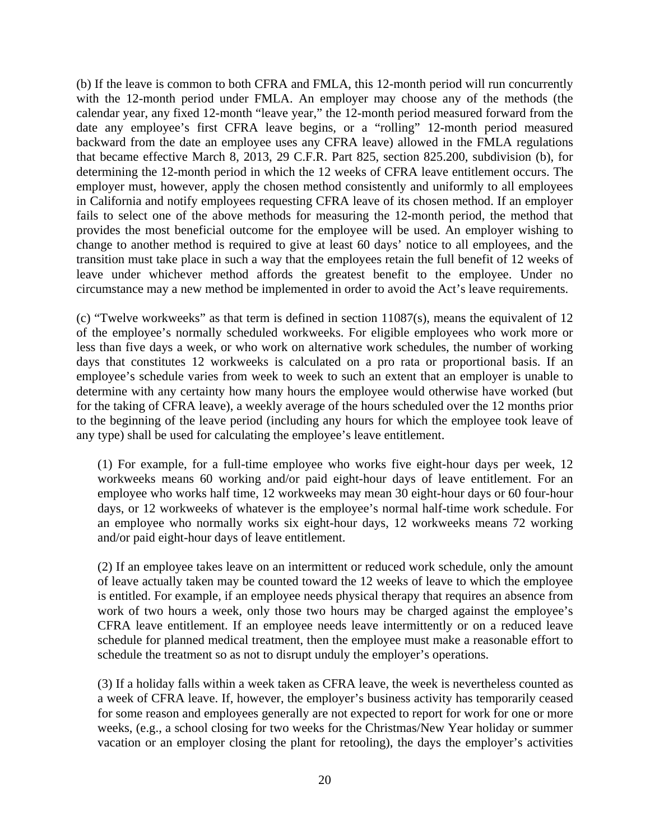(b) If the leave is common to both CFRA and FMLA, this 12-month period will run concurrently with the 12-month period under FMLA. An employer may choose any of the methods (the calendar year, any fixed 12-month "leave year," the 12-month period measured forward from the date any employee's first CFRA leave begins, or a "rolling" 12-month period measured backward from the date an employee uses any CFRA leave) allowed in the FMLA regulations that became effective March 8, 2013, 29 C.F.R. Part 825, section 825.200, subdivision (b), for determining the 12-month period in which the 12 weeks of CFRA leave entitlement occurs. The employer must, however, apply the chosen method consistently and uniformly to all employees in California and notify employees requesting CFRA leave of its chosen method. If an employer fails to select one of the above methods for measuring the 12-month period, the method that provides the most beneficial outcome for the employee will be used. An employer wishing to change to another method is required to give at least 60 days' notice to all employees, and the transition must take place in such a way that the employees retain the full benefit of 12 weeks of leave under whichever method affords the greatest benefit to the employee. Under no circumstance may a new method be implemented in order to avoid the Act's leave requirements.

(c) "Twelve workweeks" as that term is defined in section 11087(s), means the equivalent of 12 of the employee's normally scheduled workweeks. For eligible employees who work more or less than five days a week, or who work on alternative work schedules, the number of working days that constitutes 12 workweeks is calculated on a pro rata or proportional basis. If an employee's schedule varies from week to week to such an extent that an employer is unable to determine with any certainty how many hours the employee would otherwise have worked (but for the taking of CFRA leave), a weekly average of the hours scheduled over the 12 months prior to the beginning of the leave period (including any hours for which the employee took leave of any type) shall be used for calculating the employee's leave entitlement.

(1) For example, for a full-time employee who works five eight-hour days per week, 12 workweeks means 60 working and/or paid eight-hour days of leave entitlement. For an employee who works half time, 12 workweeks may mean 30 eight-hour days or 60 four-hour days, or 12 workweeks of whatever is the employee's normal half-time work schedule. For an employee who normally works six eight-hour days, 12 workweeks means 72 working and/or paid eight-hour days of leave entitlement.

(2) If an employee takes leave on an intermittent or reduced work schedule, only the amount of leave actually taken may be counted toward the 12 weeks of leave to which the employee is entitled. For example, if an employee needs physical therapy that requires an absence from work of two hours a week, only those two hours may be charged against the employee's CFRA leave entitlement. If an employee needs leave intermittently or on a reduced leave schedule for planned medical treatment, then the employee must make a reasonable effort to schedule the treatment so as not to disrupt unduly the employer's operations.

(3) If a holiday falls within a week taken as CFRA leave, the week is nevertheless counted as a week of CFRA leave. If, however, the employer's business activity has temporarily ceased for some reason and employees generally are not expected to report for work for one or more weeks, (e.g., a school closing for two weeks for the Christmas/New Year holiday or summer vacation or an employer closing the plant for retooling), the days the employer's activities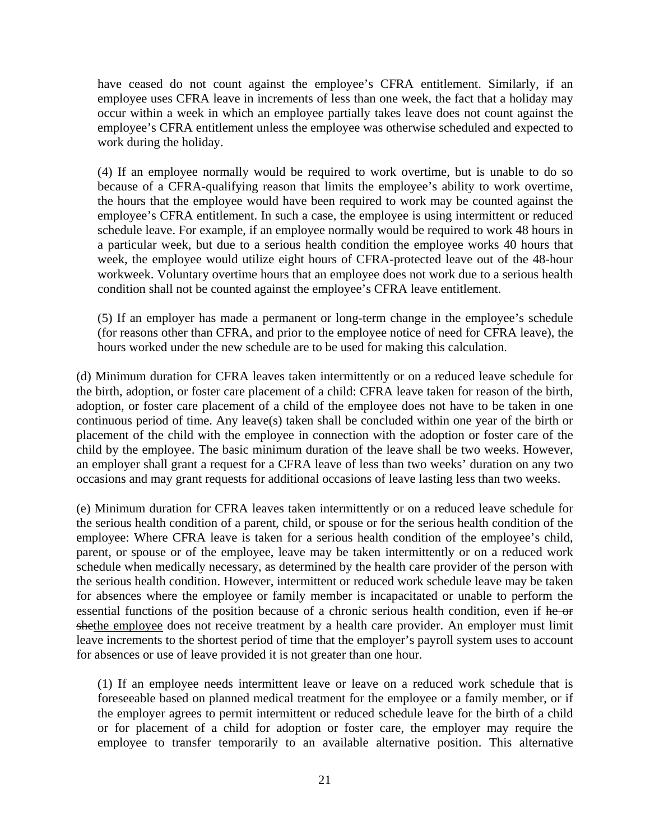have ceased do not count against the employee's CFRA entitlement. Similarly, if an employee uses CFRA leave in increments of less than one week, the fact that a holiday may occur within a week in which an employee partially takes leave does not count against the employee's CFRA entitlement unless the employee was otherwise scheduled and expected to work during the holiday.

(4) If an employee normally would be required to work overtime, but is unable to do so because of a CFRA-qualifying reason that limits the employee's ability to work overtime, the hours that the employee would have been required to work may be counted against the employee's CFRA entitlement. In such a case, the employee is using intermittent or reduced schedule leave. For example, if an employee normally would be required to work 48 hours in a particular week, but due to a serious health condition the employee works 40 hours that week, the employee would utilize eight hours of CFRA-protected leave out of the 48-hour workweek. Voluntary overtime hours that an employee does not work due to a serious health condition shall not be counted against the employee's CFRA leave entitlement.

(5) If an employer has made a permanent or long-term change in the employee's schedule (for reasons other than CFRA, and prior to the employee notice of need for CFRA leave), the hours worked under the new schedule are to be used for making this calculation.

(d) Minimum duration for CFRA leaves taken intermittently or on a reduced leave schedule for the birth, adoption, or foster care placement of a child: CFRA leave taken for reason of the birth, adoption, or foster care placement of a child of the employee does not have to be taken in one continuous period of time. Any leave(s) taken shall be concluded within one year of the birth or placement of the child with the employee in connection with the adoption or foster care of the child by the employee. The basic minimum duration of the leave shall be two weeks. However, an employer shall grant a request for a CFRA leave of less than two weeks' duration on any two occasions and may grant requests for additional occasions of leave lasting less than two weeks.

(e) Minimum duration for CFRA leaves taken intermittently or on a reduced leave schedule for the serious health condition of a parent, child, or spouse or for the serious health condition of the employee: Where CFRA leave is taken for a serious health condition of the employee's child, parent, or spouse or of the employee, leave may be taken intermittently or on a reduced work schedule when medically necessary, as determined by the health care provider of the person with the serious health condition. However, intermittent or reduced work schedule leave may be taken for absences where the employee or family member is incapacitated or unable to perform the essential functions of the position because of a chronic serious health condition, even if he or shethe employee does not receive treatment by a health care provider. An employer must limit leave increments to the shortest period of time that the employer's payroll system uses to account for absences or use of leave provided it is not greater than one hour.

(1) If an employee needs intermittent leave or leave on a reduced work schedule that is foreseeable based on planned medical treatment for the employee or a family member, or if the employer agrees to permit intermittent or reduced schedule leave for the birth of a child or for placement of a child for adoption or foster care, the employer may require the employee to transfer temporarily to an available alternative position. This alternative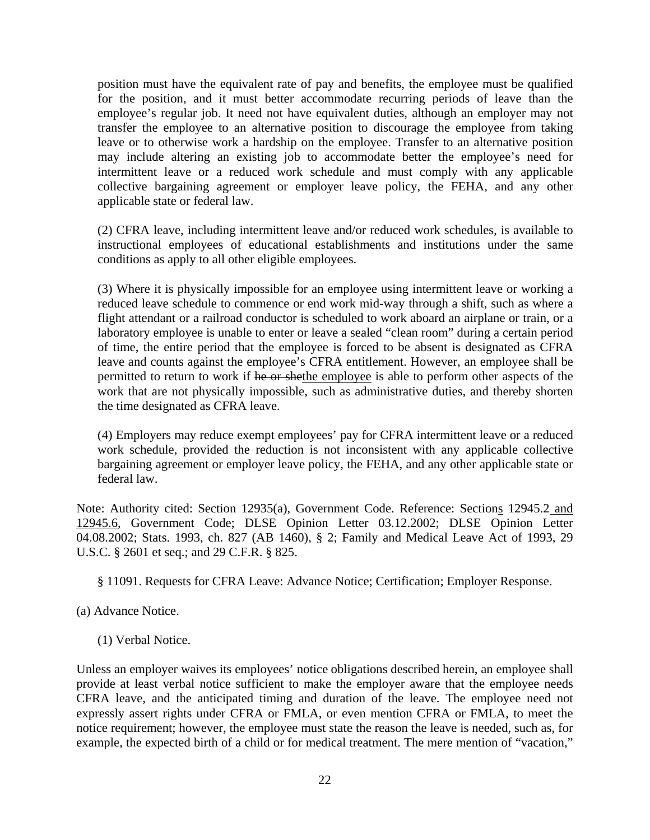position must have the equivalent rate of pay and benefits, the employee must be qualified for the position, and it must better accommodate recurring periods of leave than the employee's regular job. It need not have equivalent duties, although an employer may not transfer the employee to an alternative position to discourage the employee from taking leave or to otherwise work a hardship on the employee. Transfer to an alternative position may include altering an existing job to accommodate better the employee's need for intermittent leave or a reduced work schedule and must comply with any applicable collective bargaining agreement or employer leave policy, the FEHA, and any other applicable state or federal law.

(2) CFRA leave, including intermittent leave and/or reduced work schedules, is available to instructional employees of educational establishments and institutions under the same conditions as apply to all other eligible employees.

(3) Where it is physically impossible for an employee using intermittent leave or working a reduced leave schedule to commence or end work mid-way through a shift, such as where a flight attendant or a railroad conductor is scheduled to work aboard an airplane or train, or a laboratory employee is unable to enter or leave a sealed "clean room" during a certain period of time, the entire period that the employee is forced to be absent is designated as CFRA leave and counts against the employee's CFRA entitlement. However, an employee shall be permitted to return to work if he or shethe employee is able to perform other aspects of the work that are not physically impossible, such as administrative duties, and thereby shorten the time designated as CFRA leave.

(4) Employers may reduce exempt employees' pay for CFRA intermittent leave or a reduced work schedule, provided the reduction is not inconsistent with any applicable collective bargaining agreement or employer leave policy, the FEHA, and any other applicable state or federal law.

Note: Authority cited: Section 12935(a), Government Code. Reference: Sections 12945.2 and 12945.6, Government Code; DLSE Opinion Letter 03.12.2002; DLSE Opinion Letter 04.08.2002; Stats. 1993, ch. 827 (AB 1460), § 2; Family and Medical Leave Act of 1993, 29 U.S.C. § 2601 et seq.; and 29 C.F.R. § 825.

- § 11091. Requests for CFRA Leave: Advance Notice; Certification; Employer Response.
- (a) Advance Notice.
	- (1) Verbal Notice.

Unless an employer waives its employees' notice obligations described herein, an employee shall provide at least verbal notice sufficient to make the employer aware that the employee needs CFRA leave, and the anticipated timing and duration of the leave. The employee need not expressly assert rights under CFRA or FMLA, or even mention CFRA or FMLA, to meet the notice requirement; however, the employee must state the reason the leave is needed, such as, for example, the expected birth of a child or for medical treatment. The mere mention of "vacation,"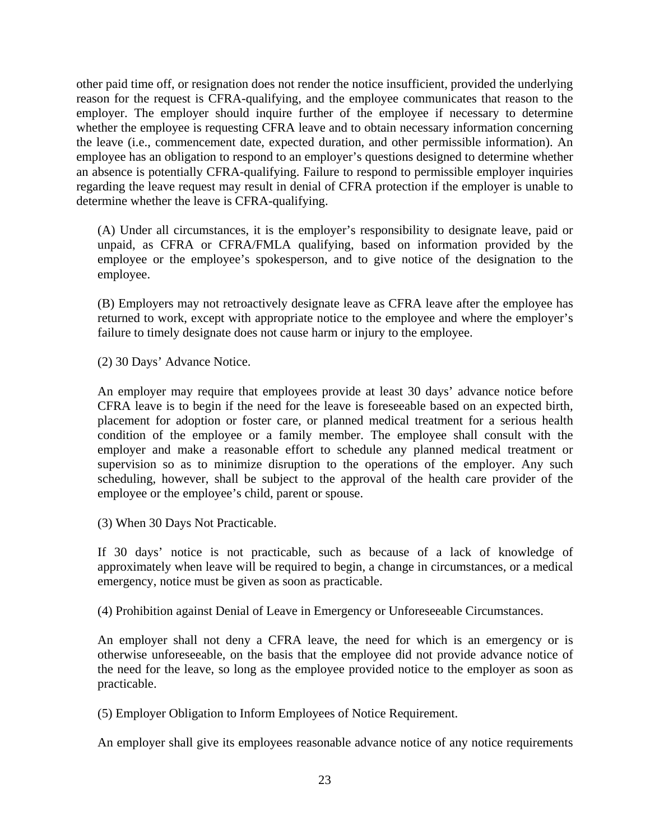other paid time off, or resignation does not render the notice insufficient, provided the underlying reason for the request is CFRA-qualifying, and the employee communicates that reason to the employer. The employer should inquire further of the employee if necessary to determine whether the employee is requesting CFRA leave and to obtain necessary information concerning the leave (i.e., commencement date, expected duration, and other permissible information). An employee has an obligation to respond to an employer's questions designed to determine whether an absence is potentially CFRA-qualifying. Failure to respond to permissible employer inquiries regarding the leave request may result in denial of CFRA protection if the employer is unable to determine whether the leave is CFRA-qualifying.

(A) Under all circumstances, it is the employer's responsibility to designate leave, paid or unpaid, as CFRA or CFRA/FMLA qualifying, based on information provided by the employee or the employee's spokesperson, and to give notice of the designation to the employee.

(B) Employers may not retroactively designate leave as CFRA leave after the employee has returned to work, except with appropriate notice to the employee and where the employer's failure to timely designate does not cause harm or injury to the employee.

(2) 30 Days' Advance Notice.

An employer may require that employees provide at least 30 days' advance notice before CFRA leave is to begin if the need for the leave is foreseeable based on an expected birth, placement for adoption or foster care, or planned medical treatment for a serious health condition of the employee or a family member. The employee shall consult with the employer and make a reasonable effort to schedule any planned medical treatment or supervision so as to minimize disruption to the operations of the employer. Any such scheduling, however, shall be subject to the approval of the health care provider of the employee or the employee's child, parent or spouse.

(3) When 30 Days Not Practicable.

If 30 days' notice is not practicable, such as because of a lack of knowledge of approximately when leave will be required to begin, a change in circumstances, or a medical emergency, notice must be given as soon as practicable.

(4) Prohibition against Denial of Leave in Emergency or Unforeseeable Circumstances.

An employer shall not deny a CFRA leave, the need for which is an emergency or is otherwise unforeseeable, on the basis that the employee did not provide advance notice of the need for the leave, so long as the employee provided notice to the employer as soon as practicable.

(5) Employer Obligation to Inform Employees of Notice Requirement.

An employer shall give its employees reasonable advance notice of any notice requirements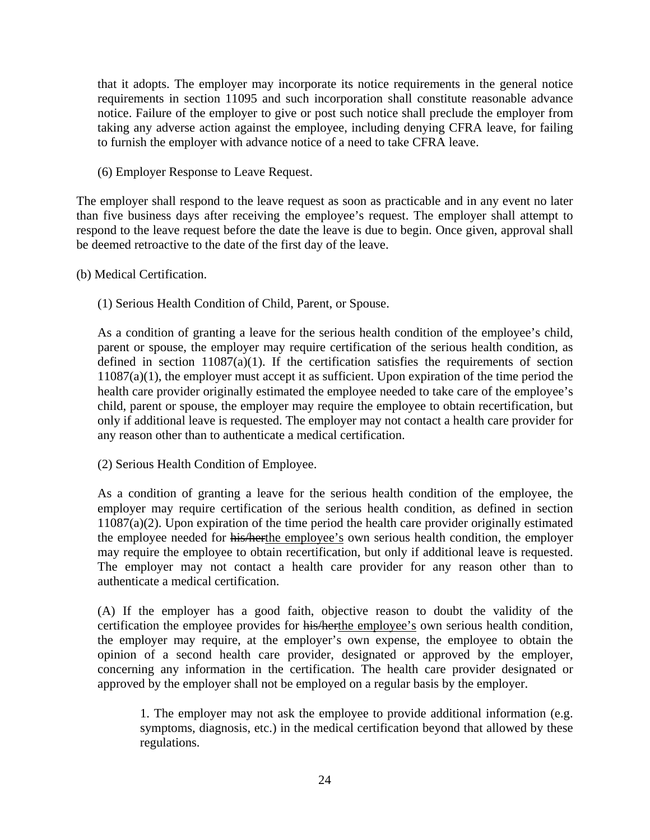that it adopts. The employer may incorporate its notice requirements in the general notice requirements in section 11095 and such incorporation shall constitute reasonable advance notice. Failure of the employer to give or post such notice shall preclude the employer from taking any adverse action against the employee, including denying CFRA leave, for failing to furnish the employer with advance notice of a need to take CFRA leave.

(6) Employer Response to Leave Request.

The employer shall respond to the leave request as soon as practicable and in any event no later than five business days after receiving the employee's request. The employer shall attempt to respond to the leave request before the date the leave is due to begin. Once given, approval shall be deemed retroactive to the date of the first day of the leave.

- (b) Medical Certification.
	- (1) Serious Health Condition of Child, Parent, or Spouse.

As a condition of granting a leave for the serious health condition of the employee's child, parent or spouse, the employer may require certification of the serious health condition, as defined in section  $11087(a)(1)$ . If the certification satisfies the requirements of section 11087(a)(1), the employer must accept it as sufficient. Upon expiration of the time period the health care provider originally estimated the employee needed to take care of the employee's child, parent or spouse, the employer may require the employee to obtain recertification, but only if additional leave is requested. The employer may not contact a health care provider for any reason other than to authenticate a medical certification.

(2) Serious Health Condition of Employee.

As a condition of granting a leave for the serious health condition of the employee, the employer may require certification of the serious health condition, as defined in section  $11087(a)(2)$ . Upon expiration of the time period the health care provider originally estimated the employee needed for his/herthe employee's own serious health condition, the employer may require the employee to obtain recertification, but only if additional leave is requested. The employer may not contact a health care provider for any reason other than to authenticate a medical certification.

(A) If the employer has a good faith, objective reason to doubt the validity of the certification the employee provides for his/herthe employee's own serious health condition, the employer may require, at the employer's own expense, the employee to obtain the opinion of a second health care provider, designated or approved by the employer, concerning any information in the certification. The health care provider designated or approved by the employer shall not be employed on a regular basis by the employer.

1. The employer may not ask the employee to provide additional information (e.g. symptoms, diagnosis, etc.) in the medical certification beyond that allowed by these regulations.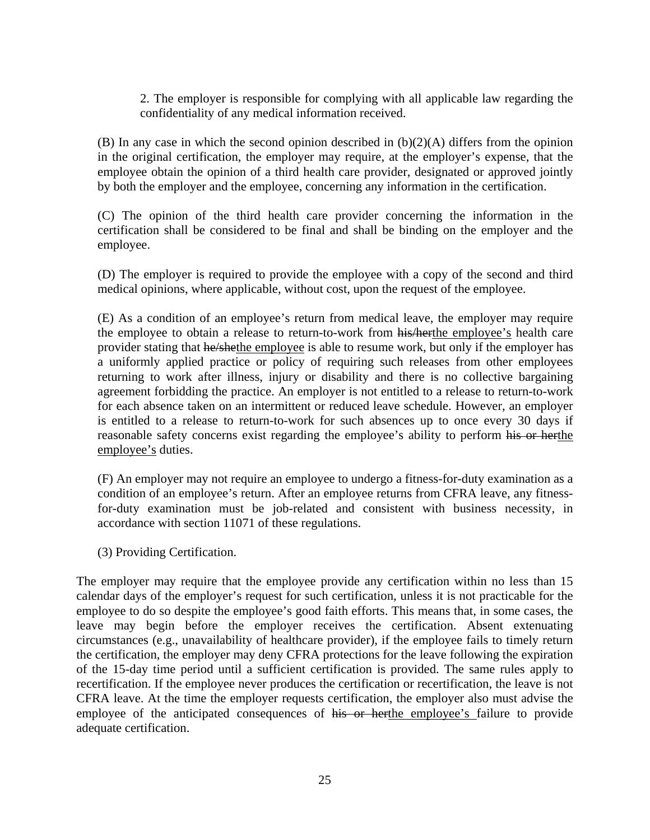2. The employer is responsible for complying with all applicable law regarding the confidentiality of any medical information received.

(B) In any case in which the second opinion described in (b)(2)(A) differs from the opinion in the original certification, the employer may require, at the employer's expense, that the employee obtain the opinion of a third health care provider, designated or approved jointly by both the employer and the employee, concerning any information in the certification.

(C) The opinion of the third health care provider concerning the information in the certification shall be considered to be final and shall be binding on the employer and the employee.

(D) The employer is required to provide the employee with a copy of the second and third medical opinions, where applicable, without cost, upon the request of the employee.

(E) As a condition of an employee's return from medical leave, the employer may require the employee to obtain a release to return-to-work from his/herthe employee's health care provider stating that he/shethe employee is able to resume work, but only if the employer has a uniformly applied practice or policy of requiring such releases from other employees returning to work after illness, injury or disability and there is no collective bargaining agreement forbidding the practice. An employer is not entitled to a release to return-to-work for each absence taken on an intermittent or reduced leave schedule. However, an employer is entitled to a release to return-to-work for such absences up to once every 30 days if reasonable safety concerns exist regarding the employee's ability to perform his or herthe employee's duties.

(F) An employer may not require an employee to undergo a fitness-for-duty examination as a condition of an employee's return. After an employee returns from CFRA leave, any fitnessfor-duty examination must be job-related and consistent with business necessity, in accordance with section 11071 of these regulations.

(3) Providing Certification.

The employer may require that the employee provide any certification within no less than 15 calendar days of the employer's request for such certification, unless it is not practicable for the employee to do so despite the employee's good faith efforts. This means that, in some cases, the leave may begin before the employer receives the certification. Absent extenuating circumstances (e.g., unavailability of healthcare provider), if the employee fails to timely return the certification, the employer may deny CFRA protections for the leave following the expiration of the 15-day time period until a sufficient certification is provided. The same rules apply to recertification. If the employee never produces the certification or recertification, the leave is not CFRA leave. At the time the employer requests certification, the employer also must advise the employee of the anticipated consequences of his or herthe employee's failure to provide adequate certification.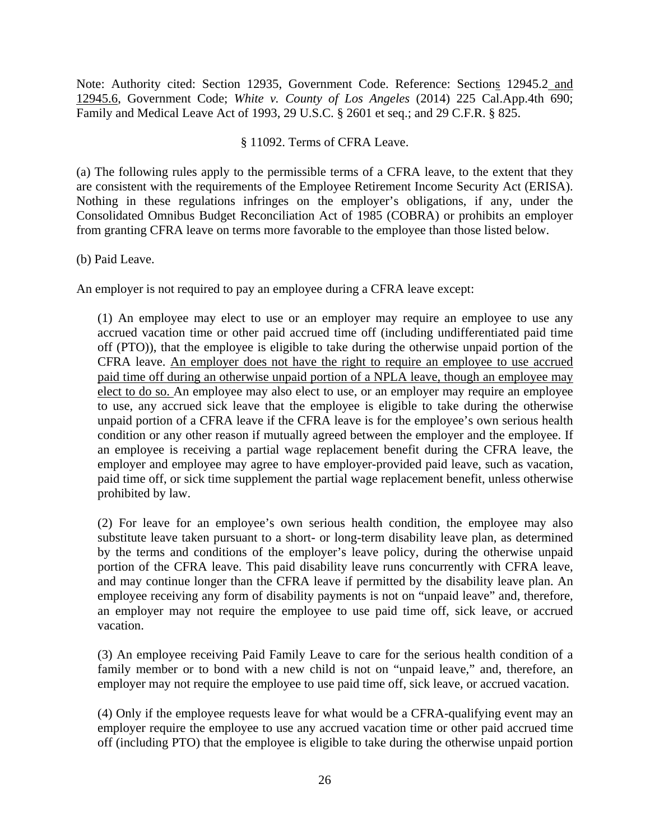Note: Authority cited: Section 12935, Government Code. Reference: Sections 12945.2 and 12945.6, Government Code; *White v. County of Los Angeles* (2014) 225 Cal.App.4th 690; Family and Medical Leave Act of 1993, 29 U.S.C. § 2601 et seq.; and 29 C.F.R. § 825.

#### § 11092. Terms of CFRA Leave.

(a) The following rules apply to the permissible terms of a CFRA leave, to the extent that they are consistent with the requirements of the Employee Retirement Income Security Act (ERISA). Nothing in these regulations infringes on the employer's obligations, if any, under the Consolidated Omnibus Budget Reconciliation Act of 1985 (COBRA) or prohibits an employer from granting CFRA leave on terms more favorable to the employee than those listed below.

#### (b) Paid Leave.

An employer is not required to pay an employee during a CFRA leave except:

(1) An employee may elect to use or an employer may require an employee to use any accrued vacation time or other paid accrued time off (including undifferentiated paid time off (PTO)), that the employee is eligible to take during the otherwise unpaid portion of the CFRA leave. An employer does not have the right to require an employee to use accrued paid time off during an otherwise unpaid portion of a NPLA leave, though an employee may elect to do so. An employee may also elect to use, or an employer may require an employee to use, any accrued sick leave that the employee is eligible to take during the otherwise unpaid portion of a CFRA leave if the CFRA leave is for the employee's own serious health condition or any other reason if mutually agreed between the employer and the employee. If an employee is receiving a partial wage replacement benefit during the CFRA leave, the employer and employee may agree to have employer-provided paid leave, such as vacation, paid time off, or sick time supplement the partial wage replacement benefit, unless otherwise prohibited by law.

(2) For leave for an employee's own serious health condition, the employee may also substitute leave taken pursuant to a short- or long-term disability leave plan, as determined by the terms and conditions of the employer's leave policy, during the otherwise unpaid portion of the CFRA leave. This paid disability leave runs concurrently with CFRA leave, and may continue longer than the CFRA leave if permitted by the disability leave plan. An employee receiving any form of disability payments is not on "unpaid leave" and, therefore, an employer may not require the employee to use paid time off, sick leave, or accrued vacation.

(3) An employee receiving Paid Family Leave to care for the serious health condition of a family member or to bond with a new child is not on "unpaid leave," and, therefore, an employer may not require the employee to use paid time off, sick leave, or accrued vacation.

(4) Only if the employee requests leave for what would be a CFRA-qualifying event may an employer require the employee to use any accrued vacation time or other paid accrued time off (including PTO) that the employee is eligible to take during the otherwise unpaid portion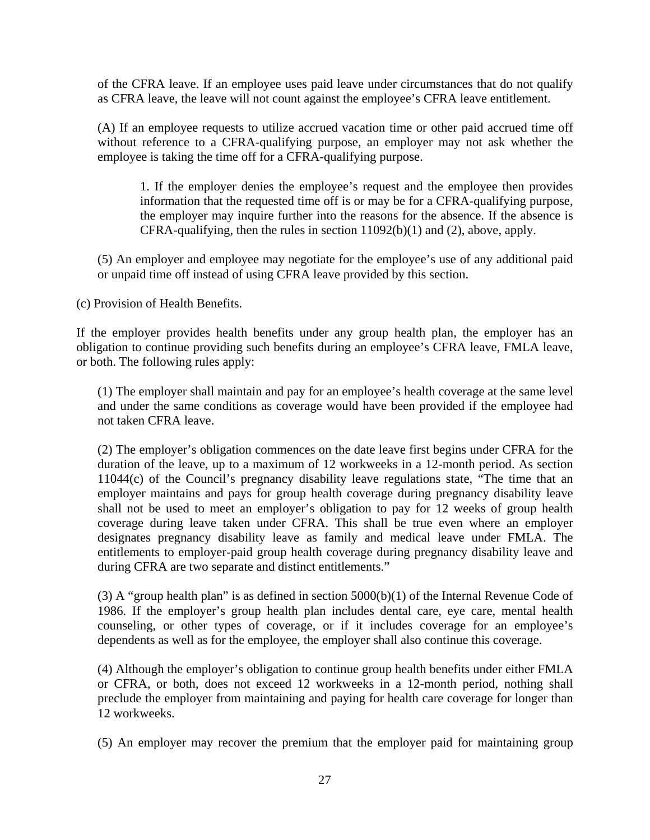of the CFRA leave. If an employee uses paid leave under circumstances that do not qualify as CFRA leave, the leave will not count against the employee's CFRA leave entitlement.

(A) If an employee requests to utilize accrued vacation time or other paid accrued time off without reference to a CFRA-qualifying purpose, an employer may not ask whether the employee is taking the time off for a CFRA-qualifying purpose.

1. If the employer denies the employee's request and the employee then provides information that the requested time off is or may be for a CFRA-qualifying purpose, the employer may inquire further into the reasons for the absence. If the absence is CFRA-qualifying, then the rules in section 11092(b)(1) and (2), above, apply.

(5) An employer and employee may negotiate for the employee's use of any additional paid or unpaid time off instead of using CFRA leave provided by this section.

(c) Provision of Health Benefits.

If the employer provides health benefits under any group health plan, the employer has an obligation to continue providing such benefits during an employee's CFRA leave, FMLA leave, or both. The following rules apply:

(1) The employer shall maintain and pay for an employee's health coverage at the same level and under the same conditions as coverage would have been provided if the employee had not taken CFRA leave.

(2) The employer's obligation commences on the date leave first begins under CFRA for the duration of the leave, up to a maximum of 12 workweeks in a 12-month period. As section 11044(c) of the Council's pregnancy disability leave regulations state, "The time that an employer maintains and pays for group health coverage during pregnancy disability leave shall not be used to meet an employer's obligation to pay for 12 weeks of group health coverage during leave taken under CFRA. This shall be true even where an employer designates pregnancy disability leave as family and medical leave under FMLA. The entitlements to employer-paid group health coverage during pregnancy disability leave and during CFRA are two separate and distinct entitlements."

(3) A "group health plan" is as defined in section  $5000(b)(1)$  of the Internal Revenue Code of 1986. If the employer's group health plan includes dental care, eye care, mental health counseling, or other types of coverage, or if it includes coverage for an employee's dependents as well as for the employee, the employer shall also continue this coverage.

(4) Although the employer's obligation to continue group health benefits under either FMLA or CFRA, or both, does not exceed 12 workweeks in a 12-month period, nothing shall preclude the employer from maintaining and paying for health care coverage for longer than 12 workweeks.

(5) An employer may recover the premium that the employer paid for maintaining group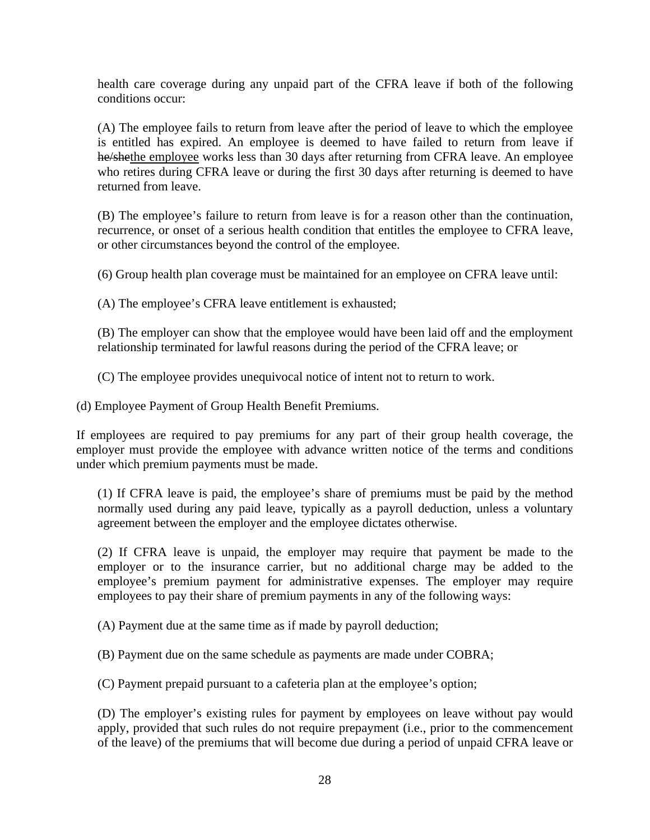health care coverage during any unpaid part of the CFRA leave if both of the following conditions occur:

(A) The employee fails to return from leave after the period of leave to which the employee is entitled has expired. An employee is deemed to have failed to return from leave if he/shethe employee works less than 30 days after returning from CFRA leave. An employee who retires during CFRA leave or during the first 30 days after returning is deemed to have returned from leave.

(B) The employee's failure to return from leave is for a reason other than the continuation, recurrence, or onset of a serious health condition that entitles the employee to CFRA leave, or other circumstances beyond the control of the employee.

(6) Group health plan coverage must be maintained for an employee on CFRA leave until:

(A) The employee's CFRA leave entitlement is exhausted;

(B) The employer can show that the employee would have been laid off and the employment relationship terminated for lawful reasons during the period of the CFRA leave; or

(C) The employee provides unequivocal notice of intent not to return to work.

(d) Employee Payment of Group Health Benefit Premiums.

If employees are required to pay premiums for any part of their group health coverage, the employer must provide the employee with advance written notice of the terms and conditions under which premium payments must be made.

(1) If CFRA leave is paid, the employee's share of premiums must be paid by the method normally used during any paid leave, typically as a payroll deduction, unless a voluntary agreement between the employer and the employee dictates otherwise.

(2) If CFRA leave is unpaid, the employer may require that payment be made to the employer or to the insurance carrier, but no additional charge may be added to the employee's premium payment for administrative expenses. The employer may require employees to pay their share of premium payments in any of the following ways:

(A) Payment due at the same time as if made by payroll deduction;

(B) Payment due on the same schedule as payments are made under COBRA;

(C) Payment prepaid pursuant to a cafeteria plan at the employee's option;

(D) The employer's existing rules for payment by employees on leave without pay would apply, provided that such rules do not require prepayment (i.e., prior to the commencement of the leave) of the premiums that will become due during a period of unpaid CFRA leave or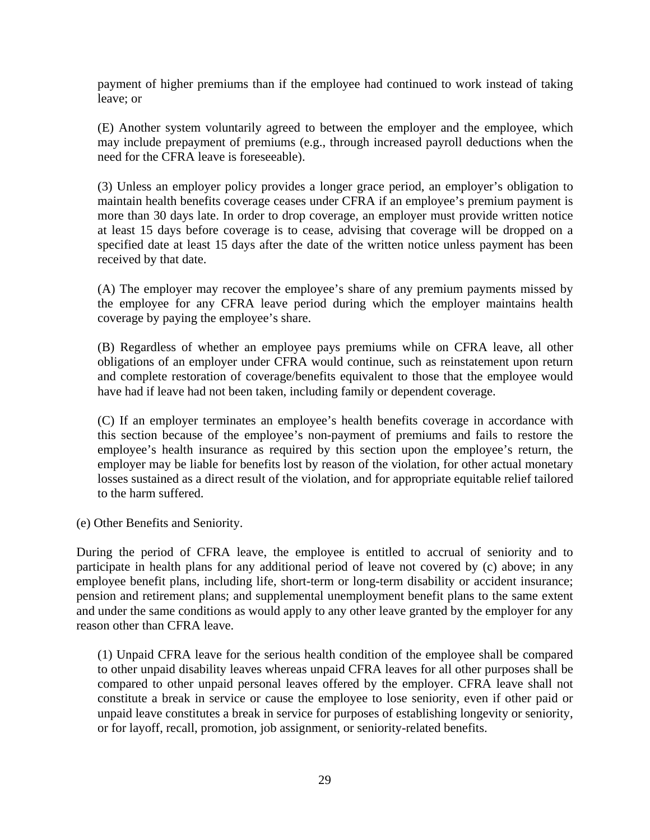payment of higher premiums than if the employee had continued to work instead of taking leave; or

(E) Another system voluntarily agreed to between the employer and the employee, which may include prepayment of premiums (e.g., through increased payroll deductions when the need for the CFRA leave is foreseeable).

(3) Unless an employer policy provides a longer grace period, an employer's obligation to maintain health benefits coverage ceases under CFRA if an employee's premium payment is more than 30 days late. In order to drop coverage, an employer must provide written notice at least 15 days before coverage is to cease, advising that coverage will be dropped on a specified date at least 15 days after the date of the written notice unless payment has been received by that date.

(A) The employer may recover the employee's share of any premium payments missed by the employee for any CFRA leave period during which the employer maintains health coverage by paying the employee's share.

(B) Regardless of whether an employee pays premiums while on CFRA leave, all other obligations of an employer under CFRA would continue, such as reinstatement upon return and complete restoration of coverage/benefits equivalent to those that the employee would have had if leave had not been taken, including family or dependent coverage.

(C) If an employer terminates an employee's health benefits coverage in accordance with this section because of the employee's non-payment of premiums and fails to restore the employee's health insurance as required by this section upon the employee's return, the employer may be liable for benefits lost by reason of the violation, for other actual monetary losses sustained as a direct result of the violation, and for appropriate equitable relief tailored to the harm suffered.

(e) Other Benefits and Seniority.

During the period of CFRA leave, the employee is entitled to accrual of seniority and to participate in health plans for any additional period of leave not covered by (c) above; in any employee benefit plans, including life, short-term or long-term disability or accident insurance; pension and retirement plans; and supplemental unemployment benefit plans to the same extent and under the same conditions as would apply to any other leave granted by the employer for any reason other than CFRA leave.

(1) Unpaid CFRA leave for the serious health condition of the employee shall be compared to other unpaid disability leaves whereas unpaid CFRA leaves for all other purposes shall be compared to other unpaid personal leaves offered by the employer. CFRA leave shall not constitute a break in service or cause the employee to lose seniority, even if other paid or unpaid leave constitutes a break in service for purposes of establishing longevity or seniority, or for layoff, recall, promotion, job assignment, or seniority-related benefits.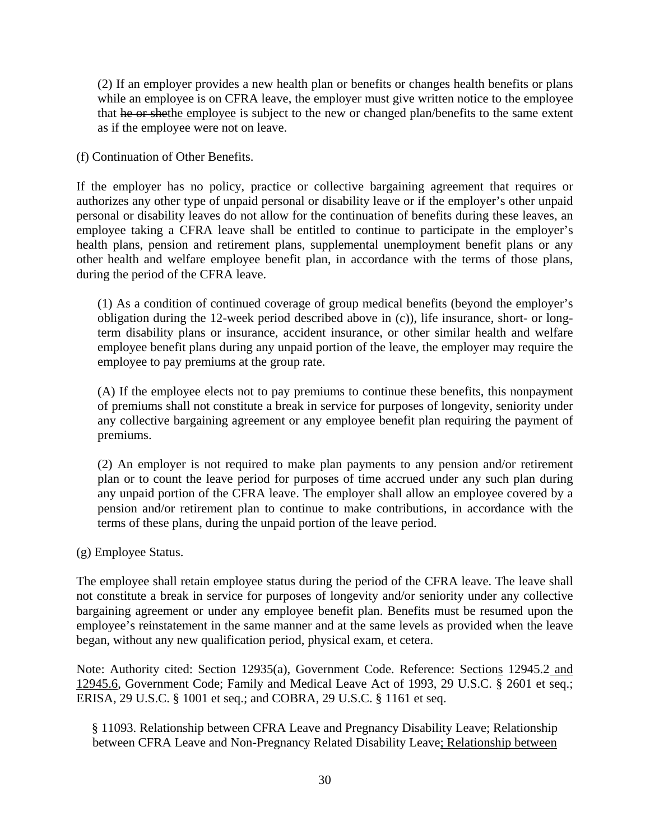(2) If an employer provides a new health plan or benefits or changes health benefits or plans while an employee is on CFRA leave, the employer must give written notice to the employee that he or shethe employee is subject to the new or changed plan/benefits to the same extent as if the employee were not on leave.

(f) Continuation of Other Benefits.

If the employer has no policy, practice or collective bargaining agreement that requires or authorizes any other type of unpaid personal or disability leave or if the employer's other unpaid personal or disability leaves do not allow for the continuation of benefits during these leaves, an employee taking a CFRA leave shall be entitled to continue to participate in the employer's health plans, pension and retirement plans, supplemental unemployment benefit plans or any other health and welfare employee benefit plan, in accordance with the terms of those plans, during the period of the CFRA leave.

(1) As a condition of continued coverage of group medical benefits (beyond the employer's obligation during the 12-week period described above in (c)), life insurance, short- or longterm disability plans or insurance, accident insurance, or other similar health and welfare employee benefit plans during any unpaid portion of the leave, the employer may require the employee to pay premiums at the group rate.

(A) If the employee elects not to pay premiums to continue these benefits, this nonpayment of premiums shall not constitute a break in service for purposes of longevity, seniority under any collective bargaining agreement or any employee benefit plan requiring the payment of premiums.

(2) An employer is not required to make plan payments to any pension and/or retirement plan or to count the leave period for purposes of time accrued under any such plan during any unpaid portion of the CFRA leave. The employer shall allow an employee covered by a pension and/or retirement plan to continue to make contributions, in accordance with the terms of these plans, during the unpaid portion of the leave period.

(g) Employee Status.

The employee shall retain employee status during the period of the CFRA leave. The leave shall not constitute a break in service for purposes of longevity and/or seniority under any collective bargaining agreement or under any employee benefit plan. Benefits must be resumed upon the employee's reinstatement in the same manner and at the same levels as provided when the leave began, without any new qualification period, physical exam, et cetera.

Note: Authority cited: Section 12935(a), Government Code. Reference: Sections 12945.2 and 12945.6, Government Code; Family and Medical Leave Act of 1993, 29 U.S.C. § 2601 et seq.; ERISA, 29 U.S.C. § 1001 et seq.; and COBRA, 29 U.S.C. § 1161 et seq.

§ 11093. Relationship between CFRA Leave and Pregnancy Disability Leave; Relationship between CFRA Leave and Non-Pregnancy Related Disability Leave; Relationship between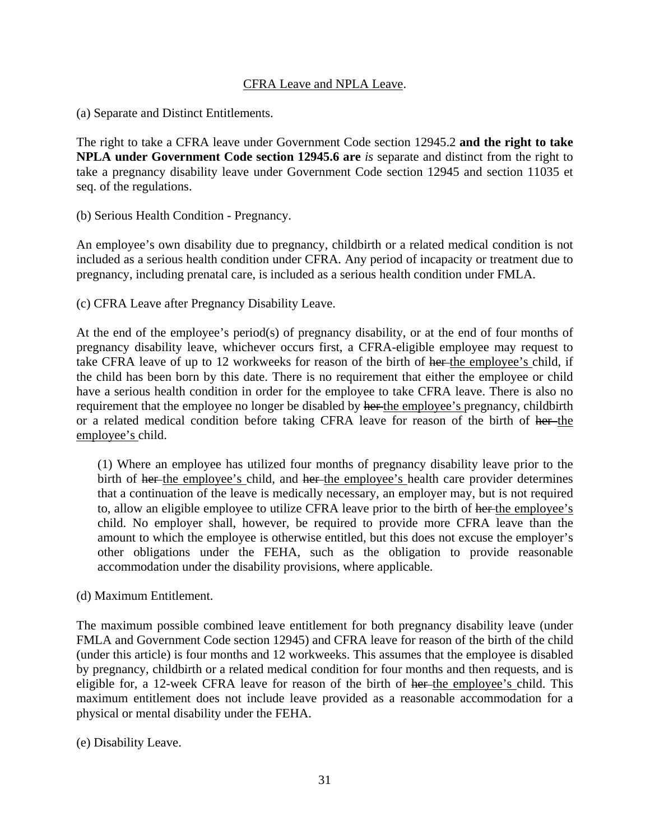#### CFRA Leave and NPLA Leave.

(a) Separate and Distinct Entitlements.

The right to take a CFRA leave under Government Code section 12945.2 **and the right to take NPLA under Government Code section 12945.6 are** *is* separate and distinct from the right to take a pregnancy disability leave under Government Code section 12945 and section 11035 et seq. of the regulations.

(b) Serious Health Condition - Pregnancy.

An employee's own disability due to pregnancy, childbirth or a related medical condition is not included as a serious health condition under CFRA. Any period of incapacity or treatment due to pregnancy, including prenatal care, is included as a serious health condition under FMLA.

(c) CFRA Leave after Pregnancy Disability Leave.

At the end of the employee's period(s) of pregnancy disability, or at the end of four months of pregnancy disability leave, whichever occurs first, a CFRA-eligible employee may request to take CFRA leave of up to 12 workweeks for reason of the birth of her-the employee's child, if the child has been born by this date. There is no requirement that either the employee or child have a serious health condition in order for the employee to take CFRA leave. There is also no requirement that the employee no longer be disabled by her the employee's pregnancy, childbirth or a related medical condition before taking CFRA leave for reason of the birth of her-the employee's child.

(1) Where an employee has utilized four months of pregnancy disability leave prior to the birth of her the employee's child, and her the employee's health care provider determines that a continuation of the leave is medically necessary, an employer may, but is not required to, allow an eligible employee to utilize CFRA leave prior to the birth of her the employee's child. No employer shall, however, be required to provide more CFRA leave than the amount to which the employee is otherwise entitled, but this does not excuse the employer's other obligations under the FEHA, such as the obligation to provide reasonable accommodation under the disability provisions, where applicable.

(d) Maximum Entitlement.

The maximum possible combined leave entitlement for both pregnancy disability leave (under FMLA and Government Code section 12945) and CFRA leave for reason of the birth of the child (under this article) is four months and 12 workweeks. This assumes that the employee is disabled by pregnancy, childbirth or a related medical condition for four months and then requests, and is eligible for, a 12-week CFRA leave for reason of the birth of her the employee's child. This maximum entitlement does not include leave provided as a reasonable accommodation for a physical or mental disability under the FEHA.

(e) Disability Leave.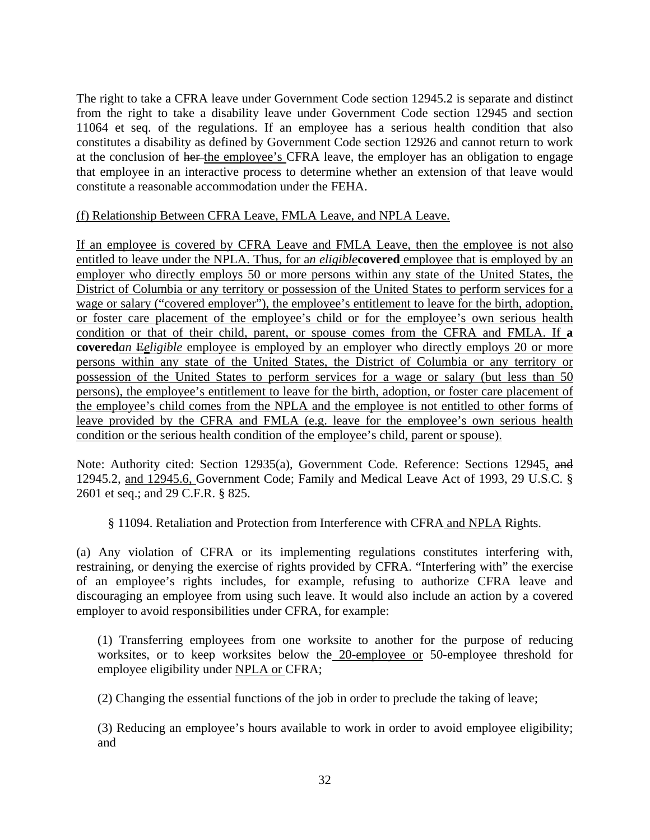The right to take a CFRA leave under Government Code section 12945.2 is separate and distinct from the right to take a disability leave under Government Code section 12945 and section 11064 et seq. of the regulations. If an employee has a serious health condition that also constitutes a disability as defined by Government Code section 12926 and cannot return to work at the conclusion of her the employee's CFRA leave, the employer has an obligation to engage that employee in an interactive process to determine whether an extension of that leave would constitute a reasonable accommodation under the FEHA.

#### (f) Relationship Between CFRA Leave, FMLA Leave, and NPLA Leave.

If an employee is covered by CFRA Leave and FMLA Leave, then the employee is not also entitled to leave under the NPLA. Thus, for a*n eligible***covered** employee that is employed by an employer who directly employs 50 or more persons within any state of the United States, the District of Columbia or any territory or possession of the United States to perform services for a wage or salary ("covered employer"), the employee's entitlement to leave for the birth, adoption, or foster care placement of the employee's child or for the employee's own serious health condition or that of their child, parent, or spouse comes from the CFRA and FMLA. If **a covered***an* Eeligible employee is employed by an employer who directly employs 20 or more persons within any state of the United States, the District of Columbia or any territory or possession of the United States to perform services for a wage or salary (but less than 50 persons), the employee's entitlement to leave for the birth, adoption, or foster care placement of the employee's child comes from the NPLA and the employee is not entitled to other forms of leave provided by the CFRA and FMLA (e.g. leave for the employee's own serious health condition or the serious health condition of the employee's child, parent or spouse).

Note: Authority cited: Section 12935(a), Government Code. Reference: Sections 12945, and 12945.2, and 12945.6, Government Code; Family and Medical Leave Act of 1993, 29 U.S.C. § 2601 et seq.; and 29 C.F.R. § 825.

§ 11094. Retaliation and Protection from Interference with CFRA and NPLA Rights.

(a) Any violation of CFRA or its implementing regulations constitutes interfering with, restraining, or denying the exercise of rights provided by CFRA. "Interfering with" the exercise of an employee's rights includes, for example, refusing to authorize CFRA leave and discouraging an employee from using such leave. It would also include an action by a covered employer to avoid responsibilities under CFRA, for example:

(1) Transferring employees from one worksite to another for the purpose of reducing worksites, or to keep worksites below the 20-employee or 50-employee threshold for employee eligibility under NPLA or CFRA;

(2) Changing the essential functions of the job in order to preclude the taking of leave;

(3) Reducing an employee's hours available to work in order to avoid employee eligibility; and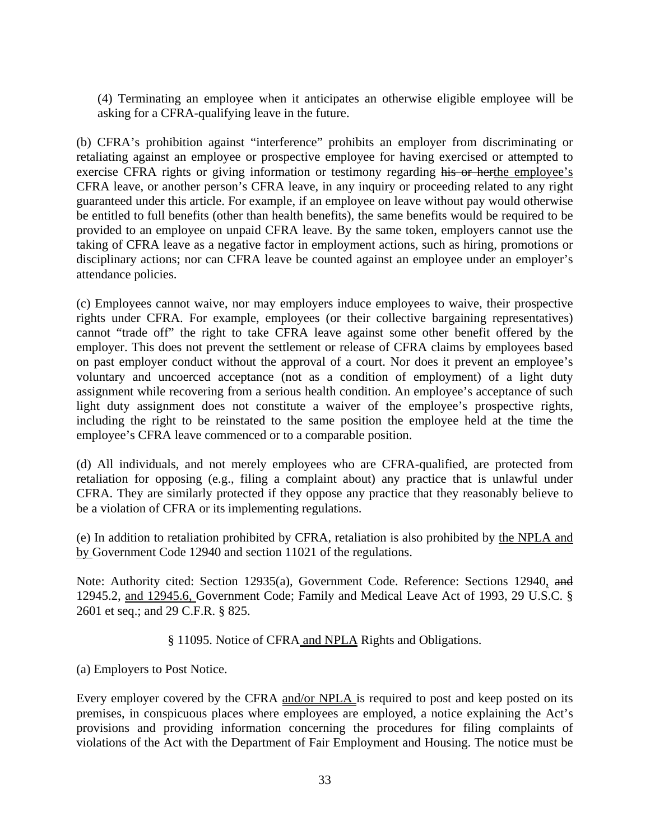(4) Terminating an employee when it anticipates an otherwise eligible employee will be asking for a CFRA-qualifying leave in the future.

(b) CFRA's prohibition against "interference" prohibits an employer from discriminating or retaliating against an employee or prospective employee for having exercised or attempted to exercise CFRA rights or giving information or testimony regarding his or herthe employee's CFRA leave, or another person's CFRA leave, in any inquiry or proceeding related to any right guaranteed under this article. For example, if an employee on leave without pay would otherwise be entitled to full benefits (other than health benefits), the same benefits would be required to be provided to an employee on unpaid CFRA leave. By the same token, employers cannot use the taking of CFRA leave as a negative factor in employment actions, such as hiring, promotions or disciplinary actions; nor can CFRA leave be counted against an employee under an employer's attendance policies.

(c) Employees cannot waive, nor may employers induce employees to waive, their prospective rights under CFRA. For example, employees (or their collective bargaining representatives) cannot "trade off" the right to take CFRA leave against some other benefit offered by the employer. This does not prevent the settlement or release of CFRA claims by employees based on past employer conduct without the approval of a court. Nor does it prevent an employee's voluntary and uncoerced acceptance (not as a condition of employment) of a light duty assignment while recovering from a serious health condition. An employee's acceptance of such light duty assignment does not constitute a waiver of the employee's prospective rights, including the right to be reinstated to the same position the employee held at the time the employee's CFRA leave commenced or to a comparable position.

(d) All individuals, and not merely employees who are CFRA-qualified, are protected from retaliation for opposing (e.g., filing a complaint about) any practice that is unlawful under CFRA. They are similarly protected if they oppose any practice that they reasonably believe to be a violation of CFRA or its implementing regulations.

(e) In addition to retaliation prohibited by CFRA, retaliation is also prohibited by the NPLA and by Government Code 12940 and section 11021 of the regulations.

Note: Authority cited: Section 12935(a), Government Code. Reference: Sections 12940, and 12945.2, and 12945.6, Government Code; Family and Medical Leave Act of 1993, 29 U.S.C. § 2601 et seq.; and 29 C.F.R. § 825.

§ 11095. Notice of CFRA and NPLA Rights and Obligations.

(a) Employers to Post Notice.

Every employer covered by the CFRA and/or NPLA is required to post and keep posted on its premises, in conspicuous places where employees are employed, a notice explaining the Act's provisions and providing information concerning the procedures for filing complaints of violations of the Act with the Department of Fair Employment and Housing. The notice must be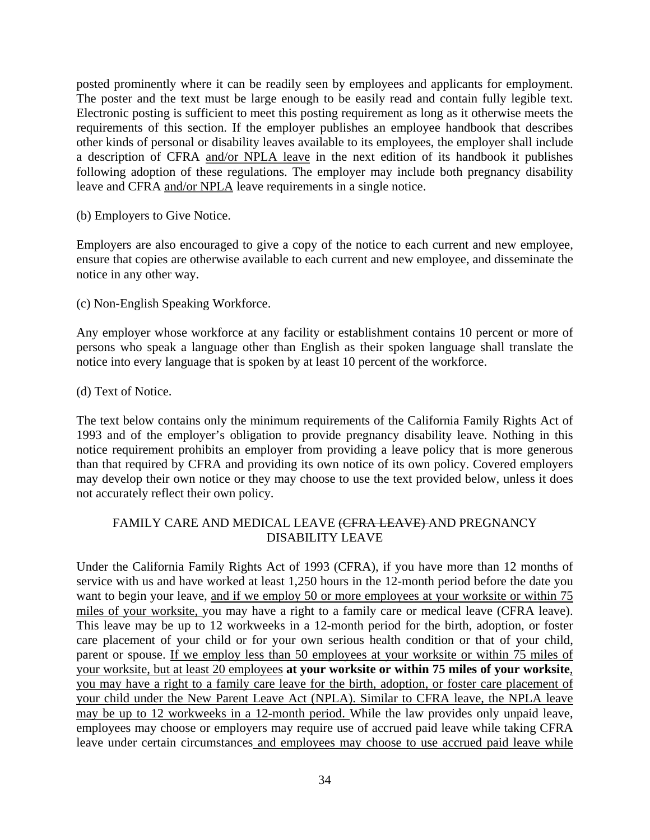posted prominently where it can be readily seen by employees and applicants for employment. The poster and the text must be large enough to be easily read and contain fully legible text. Electronic posting is sufficient to meet this posting requirement as long as it otherwise meets the requirements of this section. If the employer publishes an employee handbook that describes other kinds of personal or disability leaves available to its employees, the employer shall include a description of CFRA and/or NPLA leave in the next edition of its handbook it publishes following adoption of these regulations. The employer may include both pregnancy disability leave and CFRA and/or NPLA leave requirements in a single notice.

(b) Employers to Give Notice.

Employers are also encouraged to give a copy of the notice to each current and new employee, ensure that copies are otherwise available to each current and new employee, and disseminate the notice in any other way.

(c) Non-English Speaking Workforce.

Any employer whose workforce at any facility or establishment contains 10 percent or more of persons who speak a language other than English as their spoken language shall translate the notice into every language that is spoken by at least 10 percent of the workforce.

(d) Text of Notice.

The text below contains only the minimum requirements of the California Family Rights Act of 1993 and of the employer's obligation to provide pregnancy disability leave. Nothing in this notice requirement prohibits an employer from providing a leave policy that is more generous than that required by CFRA and providing its own notice of its own policy. Covered employers may develop their own notice or they may choose to use the text provided below, unless it does not accurately reflect their own policy.

#### FAMILY CARE AND MEDICAL LEAVE (CFRA LEAVE) AND PREGNANCY DISABILITY LEAVE

Under the California Family Rights Act of 1993 (CFRA), if you have more than 12 months of service with us and have worked at least 1,250 hours in the 12-month period before the date you want to begin your leave, and if we employ 50 or more employees at your worksite or within 75 miles of your worksite, you may have a right to a family care or medical leave (CFRA leave). This leave may be up to 12 workweeks in a 12-month period for the birth, adoption, or foster care placement of your child or for your own serious health condition or that of your child, parent or spouse. If we employ less than 50 employees at your worksite or within 75 miles of your worksite, but at least 20 employees **at your worksite or within 75 miles of your worksite**, you may have a right to a family care leave for the birth, adoption, or foster care placement of your child under the New Parent Leave Act (NPLA). Similar to CFRA leave, the NPLA leave may be up to 12 workweeks in a 12-month period. While the law provides only unpaid leave, employees may choose or employers may require use of accrued paid leave while taking CFRA leave under certain circumstances and employees may choose to use accrued paid leave while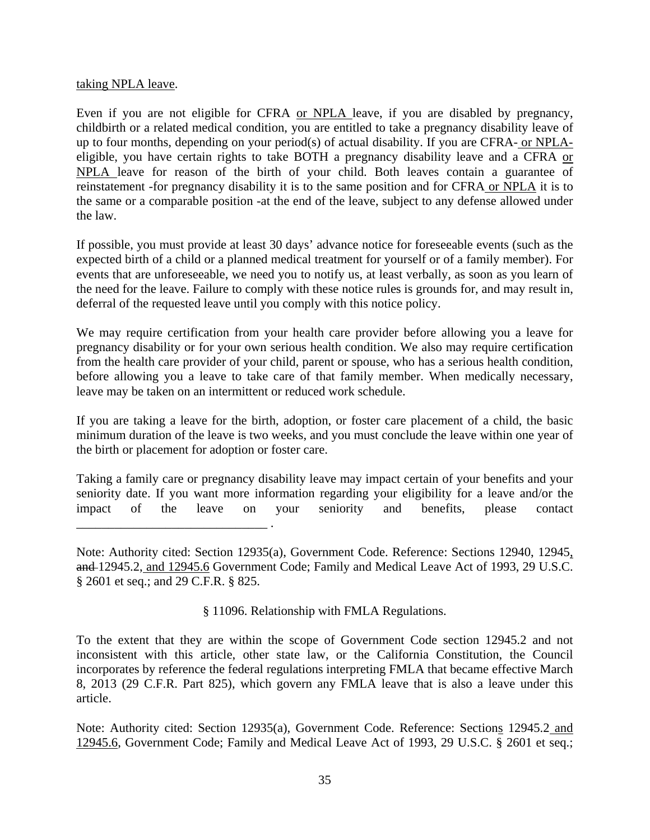#### taking NPLA leave.

Even if you are not eligible for CFRA or NPLA leave, if you are disabled by pregnancy, childbirth or a related medical condition, you are entitled to take a pregnancy disability leave of up to four months, depending on your period(s) of actual disability. If you are CFRA- or NPLAeligible, you have certain rights to take BOTH a pregnancy disability leave and a CFRA or NPLA leave for reason of the birth of your child. Both leaves contain a guarantee of reinstatement -for pregnancy disability it is to the same position and for CFRA or NPLA it is to the same or a comparable position -at the end of the leave, subject to any defense allowed under the law.

If possible, you must provide at least 30 days' advance notice for foreseeable events (such as the expected birth of a child or a planned medical treatment for yourself or of a family member). For events that are unforeseeable, we need you to notify us, at least verbally, as soon as you learn of the need for the leave. Failure to comply with these notice rules is grounds for, and may result in, deferral of the requested leave until you comply with this notice policy.

We may require certification from your health care provider before allowing you a leave for pregnancy disability or for your own serious health condition. We also may require certification from the health care provider of your child, parent or spouse, who has a serious health condition, before allowing you a leave to take care of that family member. When medically necessary, leave may be taken on an intermittent or reduced work schedule.

If you are taking a leave for the birth, adoption, or foster care placement of a child, the basic minimum duration of the leave is two weeks, and you must conclude the leave within one year of the birth or placement for adoption or foster care.

Taking a family care or pregnancy disability leave may impact certain of your benefits and your seniority date. If you want more information regarding your eligibility for a leave and/or the impact of the leave on your seniority and benefits, please contact \_\_\_\_\_\_\_\_\_\_\_\_\_\_\_\_\_\_\_\_\_\_\_\_\_\_\_\_\_\_ .

Note: Authority cited: Section 12935(a), Government Code. Reference: Sections 12940, 12945, and 12945.2, and 12945.6 Government Code; Family and Medical Leave Act of 1993, 29 U.S.C. § 2601 et seq.; and 29 C.F.R. § 825.

§ 11096. Relationship with FMLA Regulations.

To the extent that they are within the scope of Government Code section 12945.2 and not inconsistent with this article, other state law, or the California Constitution, the Council incorporates by reference the federal regulations interpreting FMLA that became effective March 8, 2013 (29 C.F.R. Part 825), which govern any FMLA leave that is also a leave under this article.

Note: Authority cited: Section 12935(a), Government Code. Reference: Sections 12945.2 and 12945.6, Government Code; Family and Medical Leave Act of 1993, 29 U.S.C. § 2601 et seq.;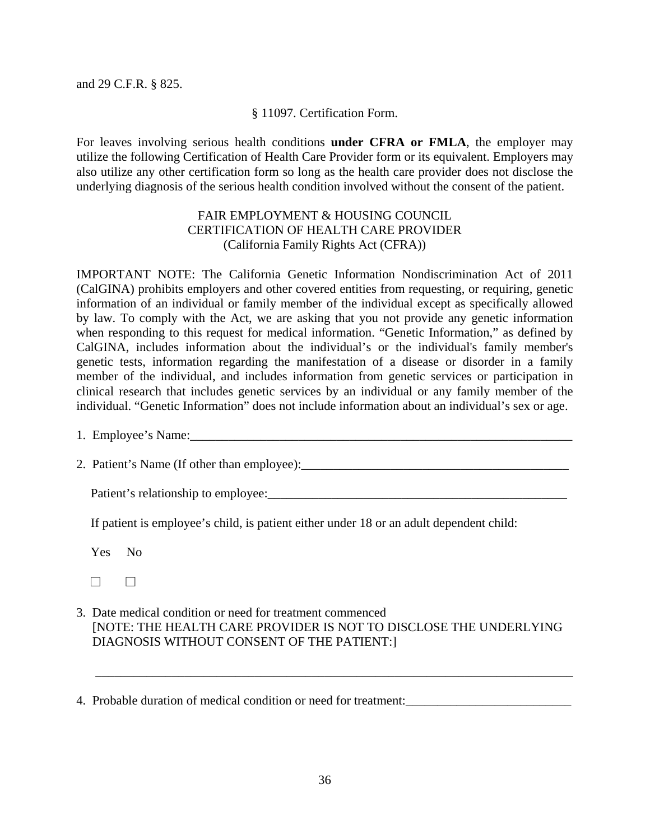and 29 C.F.R. § 825.

#### § 11097. Certification Form.

For leaves involving serious health conditions **under CFRA or FMLA**, the employer may utilize the following Certification of Health Care Provider form or its equivalent. Employers may also utilize any other certification form so long as the health care provider does not disclose the underlying diagnosis of the serious health condition involved without the consent of the patient.

#### FAIR EMPLOYMENT & HOUSING COUNCIL CERTIFICATION OF HEALTH CARE PROVIDER (California Family Rights Act (CFRA))

IMPORTANT NOTE: The California Genetic Information Nondiscrimination Act of 2011 (CalGINA) prohibits employers and other covered entities from requesting, or requiring, genetic information of an individual or family member of the individual except as specifically allowed by law. To comply with the Act, we are asking that you not provide any genetic information when responding to this request for medical information. "Genetic Information," as defined by CalGINA, includes information about the individual's or the individual's family member's genetic tests, information regarding the manifestation of a disease or disorder in a family member of the individual, and includes information from genetic services or participation in clinical research that includes genetic services by an individual or any family member of the individual. "Genetic Information" does not include information about an individual's sex or age.

1. Employee's Name:\_\_\_\_\_\_\_\_\_\_\_\_\_\_\_\_\_\_\_\_\_\_\_\_\_\_\_\_\_\_\_\_\_\_\_\_\_\_\_\_\_\_\_\_\_\_\_\_\_\_\_\_\_\_\_\_\_\_\_\_

2. Patient's Name (If other than employee):\_\_\_\_\_\_\_\_\_\_\_\_\_\_\_\_\_\_\_\_\_\_\_\_\_\_\_\_\_\_\_\_\_\_\_\_\_\_\_\_\_\_

Patient's relationship to employee:\_\_\_\_\_\_\_\_\_\_\_\_\_\_\_\_\_\_\_\_\_\_\_\_\_\_\_\_\_\_\_\_\_\_\_\_\_\_\_\_\_\_\_\_\_\_\_

If patient is employee's child, is patient either under 18 or an adult dependent child:

Yes No

3. Date medical condition or need for treatment commenced [NOTE: THE HEALTH CARE PROVIDER IS NOT TO DISCLOSE THE UNDERLYING DIAGNOSIS WITHOUT CONSENT OF THE PATIENT:]

\_\_\_\_\_\_\_\_\_\_\_\_\_\_\_\_\_\_\_\_\_\_\_\_\_\_\_\_\_\_\_\_\_\_\_\_\_\_\_\_\_\_\_\_\_\_\_\_\_\_\_\_\_\_\_\_\_\_\_\_\_\_\_\_\_\_\_\_\_\_\_\_\_\_\_

 <sup>☐</sup> ☐

<sup>4.</sup> Probable duration of medical condition or need for treatment:\_\_\_\_\_\_\_\_\_\_\_\_\_\_\_\_\_\_\_\_\_\_\_\_\_\_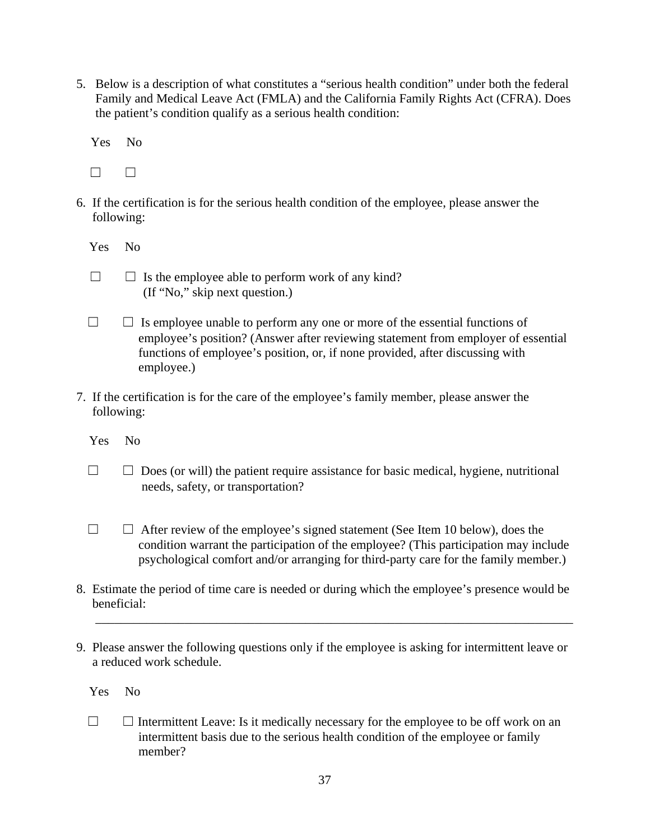5. Below is a description of what constitutes a "serious health condition" under both the federal Family and Medical Leave Act (FMLA) and the California Family Rights Act (CFRA). Does the patient's condition qualify as a serious health condition:

Yes No

 $\Box$ 

6. If the certification is for the serious health condition of the employee, please answer the following:

Yes No

- $\Box$   $\Box$  Is the employee able to perform work of any kind? (If "No," skip next question.)
- $\Box$   $\Box$  Is employee unable to perform any one or more of the essential functions of employee's position? (Answer after reviewing statement from employer of essential functions of employee's position, or, if none provided, after discussing with employee.)
- 7. If the certification is for the care of the employee's family member, please answer the following:
	- Yes No
	- $\Box$   $\Box$  Does (or will) the patient require assistance for basic medical, hygiene, nutritional needs, safety, or transportation?
	- $\Box$   $\Box$  After review of the employee's signed statement (See Item 10 below), does the condition warrant the participation of the employee? (This participation may include psychological comfort and/or arranging for third-party care for the family member.)
- 8. Estimate the period of time care is needed or during which the employee's presence would be beneficial:

\_\_\_\_\_\_\_\_\_\_\_\_\_\_\_\_\_\_\_\_\_\_\_\_\_\_\_\_\_\_\_\_\_\_\_\_\_\_\_\_\_\_\_\_\_\_\_\_\_\_\_\_\_\_\_\_\_\_\_\_\_\_\_\_\_\_\_\_\_\_\_\_\_\_\_

9. Please answer the following questions only if the employee is asking for intermittent leave or a reduced work schedule.

Yes No

 $\Box$   $\Box$  Intermittent Leave: Is it medically necessary for the employee to be off work on an intermittent basis due to the serious health condition of the employee or family member?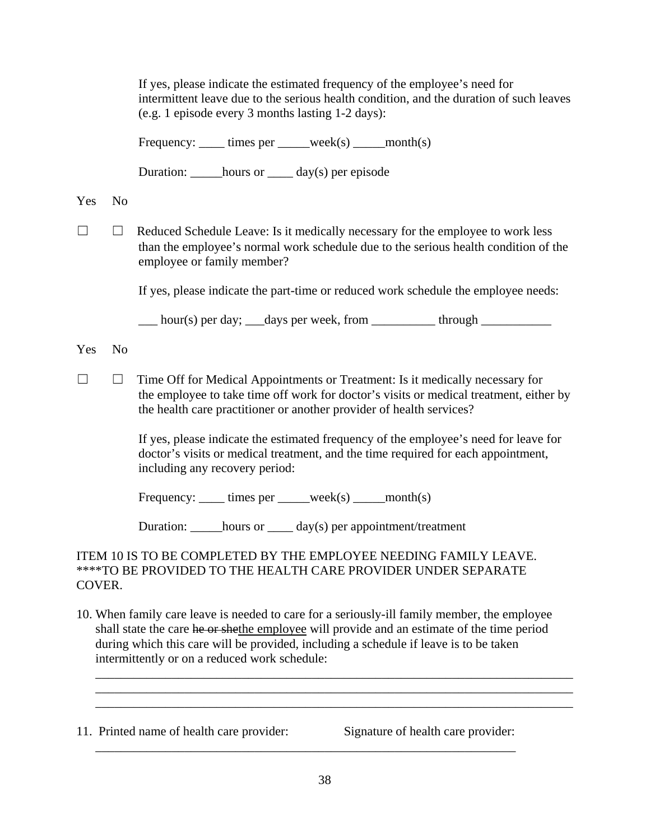|                                                                                                                                                                                                                                                                                                                                      |                | If yes, please indicate the estimated frequency of the employee's need for<br>intermittent leave due to the serious health condition, and the duration of such leaves<br>(e.g. 1 episode every 3 months lasting 1-2 days):                      |
|--------------------------------------------------------------------------------------------------------------------------------------------------------------------------------------------------------------------------------------------------------------------------------------------------------------------------------------|----------------|-------------------------------------------------------------------------------------------------------------------------------------------------------------------------------------------------------------------------------------------------|
|                                                                                                                                                                                                                                                                                                                                      |                | Frequency: _____ times per _____week(s) _____month(s)                                                                                                                                                                                           |
|                                                                                                                                                                                                                                                                                                                                      |                | Duration: ______hours or _____ day(s) per episode                                                                                                                                                                                               |
| Yes                                                                                                                                                                                                                                                                                                                                  | N <sub>o</sub> |                                                                                                                                                                                                                                                 |
| $\blacksquare$                                                                                                                                                                                                                                                                                                                       | ⊔              | Reduced Schedule Leave: Is it medically necessary for the employee to work less<br>than the employee's normal work schedule due to the serious health condition of the<br>employee or family member?                                            |
|                                                                                                                                                                                                                                                                                                                                      |                | If yes, please indicate the part-time or reduced work schedule the employee needs:                                                                                                                                                              |
|                                                                                                                                                                                                                                                                                                                                      |                | ___ hour(s) per day; ___ days per week, from ___________ through ______________                                                                                                                                                                 |
| Yes                                                                                                                                                                                                                                                                                                                                  | N <sub>o</sub> |                                                                                                                                                                                                                                                 |
| $\vert \ \ \vert$                                                                                                                                                                                                                                                                                                                    | $\Box$         | Time Off for Medical Appointments or Treatment: Is it medically necessary for<br>the employee to take time off work for doctor's visits or medical treatment, either by<br>the health care practitioner or another provider of health services? |
|                                                                                                                                                                                                                                                                                                                                      |                | If yes, please indicate the estimated frequency of the employee's need for leave for<br>doctor's visits or medical treatment, and the time required for each appointment,<br>including any recovery period:                                     |
|                                                                                                                                                                                                                                                                                                                                      |                | Frequency: _____ times per _____week(s) _____month(s)                                                                                                                                                                                           |
|                                                                                                                                                                                                                                                                                                                                      |                | Duration: $\_\_\_\_$ hours or $\_\_\_$ day(s) per appointment/treatment                                                                                                                                                                         |
| ITEM 10 IS TO BE COMPLETED BY THE EMPLOYEE NEEDING FAMILY LEAVE.<br><b>****TO BE PROVIDED TO THE HEALTH CARE PROVIDER UNDER SEPARATE</b><br>COVER.                                                                                                                                                                                   |                |                                                                                                                                                                                                                                                 |
| 10. When family care leave is needed to care for a seriously-ill family member, the employee<br>shall state the care he or shethe employee will provide and an estimate of the time period<br>during which this care will be provided, including a schedule if leave is to be taken<br>intermittently or on a reduced work schedule: |                |                                                                                                                                                                                                                                                 |
|                                                                                                                                                                                                                                                                                                                                      |                |                                                                                                                                                                                                                                                 |

11. Printed name of health care provider: Signature of health care provider:

\_\_\_\_\_\_\_\_\_\_\_\_\_\_\_\_\_\_\_\_\_\_\_\_\_\_\_\_\_\_\_\_\_\_\_\_\_\_\_\_\_\_\_\_\_\_\_\_\_\_\_\_\_\_\_\_\_\_\_\_\_\_\_\_\_\_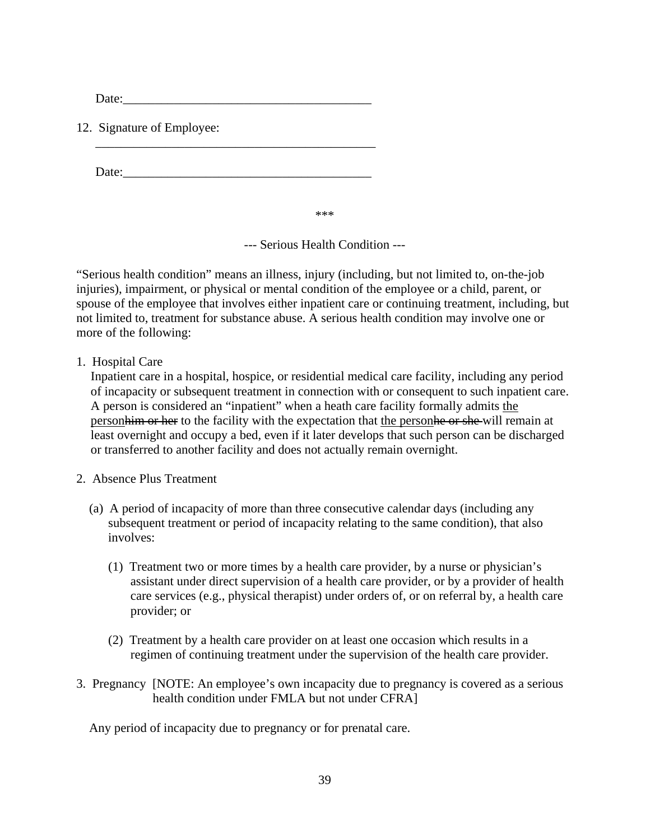Date:

12. Signature of Employee:

Date:\_\_\_\_\_\_\_\_\_\_\_\_\_\_\_\_\_\_\_\_\_\_\_\_\_\_\_\_\_\_\_\_\_\_\_\_\_\_\_

\_\_\_\_\_\_\_\_\_\_\_\_\_\_\_\_\_\_\_\_\_\_\_\_\_\_\_\_\_\_\_\_\_\_\_\_\_\_\_\_\_\_\_\_

\*\*\*

--- Serious Health Condition ---

"Serious health condition" means an illness, injury (including, but not limited to, on-the-job injuries), impairment, or physical or mental condition of the employee or a child, parent, or spouse of the employee that involves either inpatient care or continuing treatment, including, but not limited to, treatment for substance abuse. A serious health condition may involve one or more of the following:

1. Hospital Care

Inpatient care in a hospital, hospice, or residential medical care facility, including any period of incapacity or subsequent treatment in connection with or consequent to such inpatient care. A person is considered an "inpatient" when a heath care facility formally admits the personhim or her to the facility with the expectation that the personhe or she will remain at least overnight and occupy a bed, even if it later develops that such person can be discharged or transferred to another facility and does not actually remain overnight.

- 2. Absence Plus Treatment
	- (a) A period of incapacity of more than three consecutive calendar days (including any subsequent treatment or period of incapacity relating to the same condition), that also involves:
		- (1) Treatment two or more times by a health care provider, by a nurse or physician's assistant under direct supervision of a health care provider, or by a provider of health care services (e.g., physical therapist) under orders of, or on referral by, a health care provider; or
		- (2) Treatment by a health care provider on at least one occasion which results in a regimen of continuing treatment under the supervision of the health care provider.
- 3. Pregnancy [NOTE: An employee's own incapacity due to pregnancy is covered as a serious health condition under FMLA but not under CFRA]

Any period of incapacity due to pregnancy or for prenatal care.